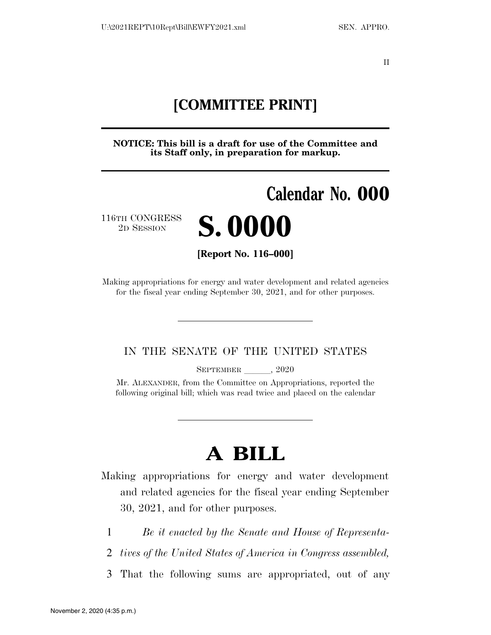II

# **[COMMITTEE PRINT]**

**NOTICE: This bill is a draft for use of the Committee and its Staff only, in preparation for markup.** 

# **Calendar No. 000**  116TH CONGRESS <sup>TH CONGRESS</sup> **S. 0000 [Report No. 116–000]**

Making appropriations for energy and water development and related agencies for the fiscal year ending September 30, 2021, and for other purposes.

### IN THE SENATE OF THE UNITED STATES

SEPTEMBER , 2020

Mr. ALEXANDER, from the Committee on Appropriations, reported the following original bill; which was read twice and placed on the calendar

# **A BILL**

Making appropriations for energy and water development and related agencies for the fiscal year ending September 30, 2021, and for other purposes.

- 1 *Be it enacted by the Senate and House of Representa-*
- 2 *tives of the United States of America in Congress assembled,*
- 3 That the following sums are appropriated, out of any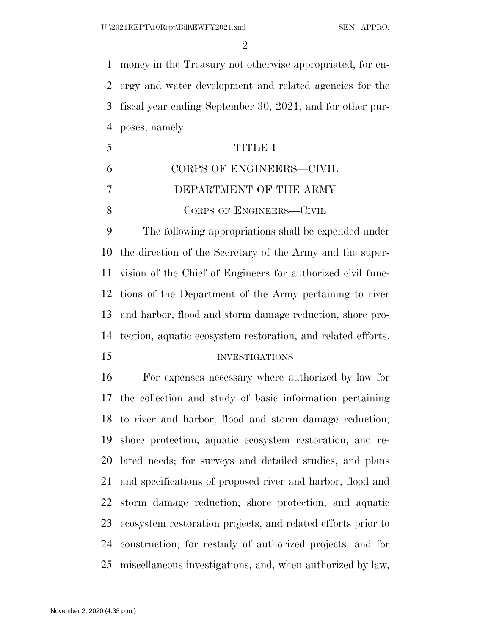$\mathfrak{D}$ 

 money in the Treasury not otherwise appropriated, for en- ergy and water development and related agencies for the fiscal year ending September 30, 2021, and for other pur-poses, namely:

 TITLE I CORPS OF ENGINEERS—CIVIL DEPARTMENT OF THE ARMY 8 CORPS OF ENGINEERS—CIVIL

 The following appropriations shall be expended under the direction of the Secretary of the Army and the super- vision of the Chief of Engineers for authorized civil func- tions of the Department of the Army pertaining to river and harbor, flood and storm damage reduction, shore pro-tection, aquatic ecosystem restoration, and related efforts.

#### INVESTIGATIONS

 For expenses necessary where authorized by law for the collection and study of basic information pertaining to river and harbor, flood and storm damage reduction, shore protection, aquatic ecosystem restoration, and re- lated needs; for surveys and detailed studies, and plans and specifications of proposed river and harbor, flood and storm damage reduction, shore protection, and aquatic ecosystem restoration projects, and related efforts prior to construction; for restudy of authorized projects; and for miscellaneous investigations, and, when authorized by law,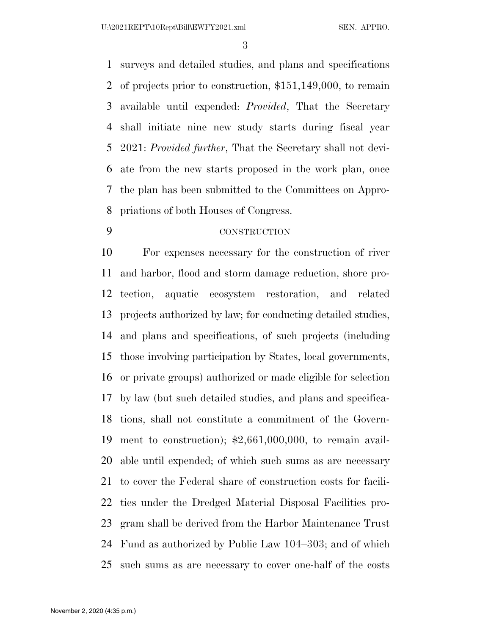U:\2021REPT\10Rept\Bill\EWFY2021.xml SEN. APPRO.

 surveys and detailed studies, and plans and specifications of projects prior to construction, \$151,149,000, to remain available until expended: *Provided*, That the Secretary shall initiate nine new study starts during fiscal year 2021: *Provided further*, That the Secretary shall not devi- ate from the new starts proposed in the work plan, once the plan has been submitted to the Committees on Appro-priations of both Houses of Congress.

#### CONSTRUCTION

 For expenses necessary for the construction of river and harbor, flood and storm damage reduction, shore pro- tection, aquatic ecosystem restoration, and related projects authorized by law; for conducting detailed studies, and plans and specifications, of such projects (including those involving participation by States, local governments, or private groups) authorized or made eligible for selection by law (but such detailed studies, and plans and specifica- tions, shall not constitute a commitment of the Govern- ment to construction); \$2,661,000,000, to remain avail- able until expended; of which such sums as are necessary to cover the Federal share of construction costs for facili- ties under the Dredged Material Disposal Facilities pro- gram shall be derived from the Harbor Maintenance Trust Fund as authorized by Public Law 104–303; and of which such sums as are necessary to cover one-half of the costs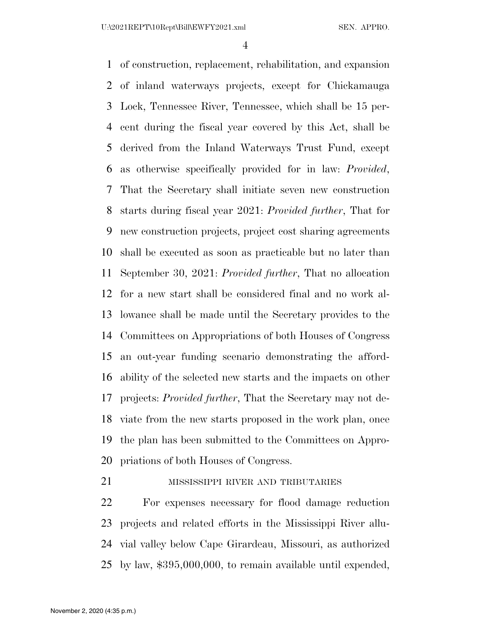of construction, replacement, rehabilitation, and expansion of inland waterways projects, except for Chickamauga Lock, Tennessee River, Tennessee, which shall be 15 per- cent during the fiscal year covered by this Act, shall be derived from the Inland Waterways Trust Fund, except as otherwise specifically provided for in law: *Provided*, That the Secretary shall initiate seven new construction starts during fiscal year 2021: *Provided further*, That for new construction projects, project cost sharing agreements shall be executed as soon as practicable but no later than September 30, 2021: *Provided further*, That no allocation for a new start shall be considered final and no work al- lowance shall be made until the Secretary provides to the Committees on Appropriations of both Houses of Congress an out-year funding scenario demonstrating the afford- ability of the selected new starts and the impacts on other projects: *Provided further*, That the Secretary may not de- viate from the new starts proposed in the work plan, once the plan has been submitted to the Committees on Appro-priations of both Houses of Congress.

# 21 MISSISSIPPI RIVER AND TRIBUTARIES

 For expenses necessary for flood damage reduction projects and related efforts in the Mississippi River allu- vial valley below Cape Girardeau, Missouri, as authorized by law, \$395,000,000, to remain available until expended,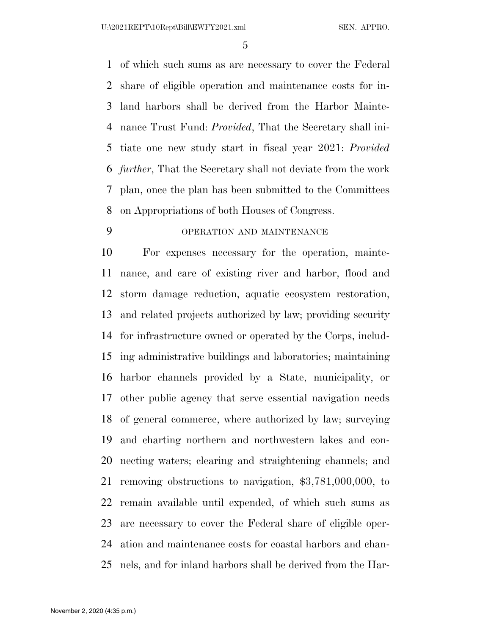of which such sums as are necessary to cover the Federal share of eligible operation and maintenance costs for in- land harbors shall be derived from the Harbor Mainte- nance Trust Fund: *Provided*, That the Secretary shall ini- tiate one new study start in fiscal year 2021: *Provided further*, That the Secretary shall not deviate from the work plan, once the plan has been submitted to the Committees on Appropriations of both Houses of Congress.

# OPERATION AND MAINTENANCE

 For expenses necessary for the operation, mainte- nance, and care of existing river and harbor, flood and storm damage reduction, aquatic ecosystem restoration, and related projects authorized by law; providing security for infrastructure owned or operated by the Corps, includ- ing administrative buildings and laboratories; maintaining harbor channels provided by a State, municipality, or other public agency that serve essential navigation needs of general commerce, where authorized by law; surveying and charting northern and northwestern lakes and con- necting waters; clearing and straightening channels; and removing obstructions to navigation, \$3,781,000,000, to remain available until expended, of which such sums as are necessary to cover the Federal share of eligible oper- ation and maintenance costs for coastal harbors and chan-nels, and for inland harbors shall be derived from the Har-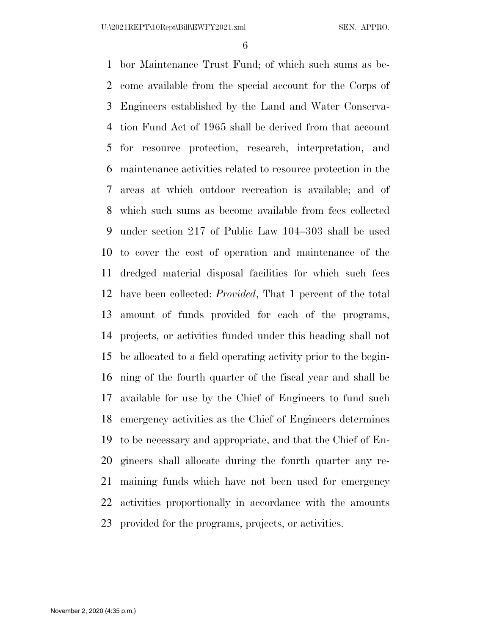bor Maintenance Trust Fund; of which such sums as be- come available from the special account for the Corps of Engineers established by the Land and Water Conserva- tion Fund Act of 1965 shall be derived from that account for resource protection, research, interpretation, and maintenance activities related to resource protection in the areas at which outdoor recreation is available; and of which such sums as become available from fees collected under section 217 of Public Law 104–303 shall be used to cover the cost of operation and maintenance of the dredged material disposal facilities for which such fees have been collected: *Provided*, That 1 percent of the total amount of funds provided for each of the programs, projects, or activities funded under this heading shall not be allocated to a field operating activity prior to the begin- ning of the fourth quarter of the fiscal year and shall be available for use by the Chief of Engineers to fund such emergency activities as the Chief of Engineers determines to be necessary and appropriate, and that the Chief of En- gineers shall allocate during the fourth quarter any re- maining funds which have not been used for emergency activities proportionally in accordance with the amounts provided for the programs, projects, or activities.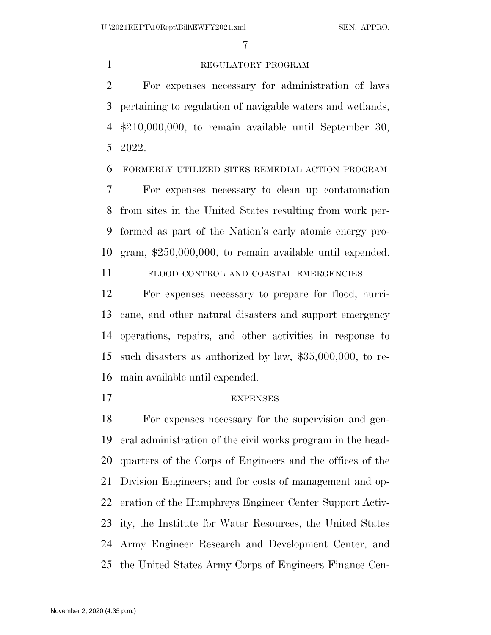## 1 REGULATORY PROGRAM

 For expenses necessary for administration of laws pertaining to regulation of navigable waters and wetlands, \$210,000,000, to remain available until September 30, 2022.

FORMERLY UTILIZED SITES REMEDIAL ACTION PROGRAM

 For expenses necessary to clean up contamination from sites in the United States resulting from work per- formed as part of the Nation's early atomic energy pro-gram, \$250,000,000, to remain available until expended.

FLOOD CONTROL AND COASTAL EMERGENCIES

 For expenses necessary to prepare for flood, hurri- cane, and other natural disasters and support emergency operations, repairs, and other activities in response to such disasters as authorized by law, \$35,000,000, to re-main available until expended.

### EXPENSES

 For expenses necessary for the supervision and gen- eral administration of the civil works program in the head- quarters of the Corps of Engineers and the offices of the Division Engineers; and for costs of management and op- eration of the Humphreys Engineer Center Support Activ- ity, the Institute for Water Resources, the United States Army Engineer Research and Development Center, and the United States Army Corps of Engineers Finance Cen-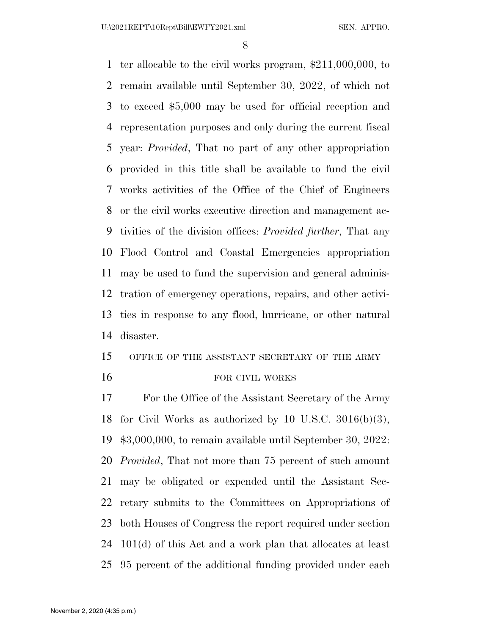ter allocable to the civil works program, \$211,000,000, to remain available until September 30, 2022, of which not to exceed \$5,000 may be used for official reception and representation purposes and only during the current fiscal year: *Provided*, That no part of any other appropriation provided in this title shall be available to fund the civil works activities of the Office of the Chief of Engineers or the civil works executive direction and management ac- tivities of the division offices: *Provided further*, That any Flood Control and Coastal Emergencies appropriation may be used to fund the supervision and general adminis- tration of emergency operations, repairs, and other activi- ties in response to any flood, hurricane, or other natural disaster.

# OFFICE OF THE ASSISTANT SECRETARY OF THE ARMY 16 FOR CIVIL WORKS

 For the Office of the Assistant Secretary of the Army for Civil Works as authorized by 10 U.S.C. 3016(b)(3), \$3,000,000, to remain available until September 30, 2022: *Provided*, That not more than 75 percent of such amount may be obligated or expended until the Assistant Sec- retary submits to the Committees on Appropriations of both Houses of Congress the report required under section 101(d) of this Act and a work plan that allocates at least 95 percent of the additional funding provided under each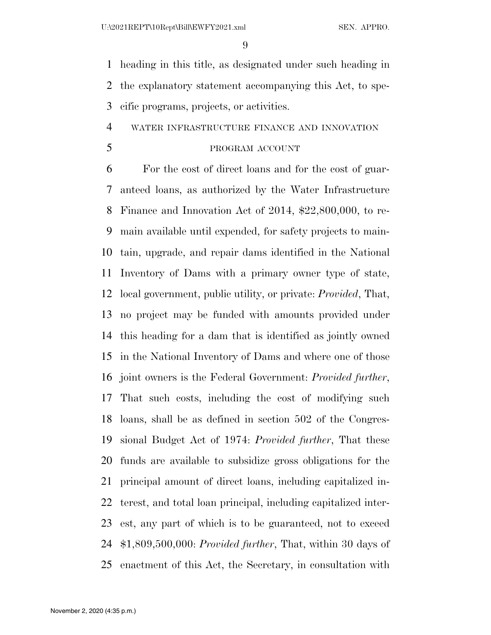heading in this title, as designated under such heading in the explanatory statement accompanying this Act, to spe-cific programs, projects, or activities.

## WATER INFRASTRUCTURE FINANCE AND INNOVATION

# 5 PROGRAM ACCOUNT

 For the cost of direct loans and for the cost of guar- anteed loans, as authorized by the Water Infrastructure Finance and Innovation Act of 2014, \$22,800,000, to re- main available until expended, for safety projects to main- tain, upgrade, and repair dams identified in the National Inventory of Dams with a primary owner type of state, local government, public utility, or private: *Provided*, That, no project may be funded with amounts provided under this heading for a dam that is identified as jointly owned in the National Inventory of Dams and where one of those joint owners is the Federal Government: *Provided further*, That such costs, including the cost of modifying such loans, shall be as defined in section 502 of the Congres- sional Budget Act of 1974: *Provided further*, That these funds are available to subsidize gross obligations for the principal amount of direct loans, including capitalized in- terest, and total loan principal, including capitalized inter- est, any part of which is to be guaranteed, not to exceed \$1,809,500,000: *Provided further*, That, within 30 days of enactment of this Act, the Secretary, in consultation with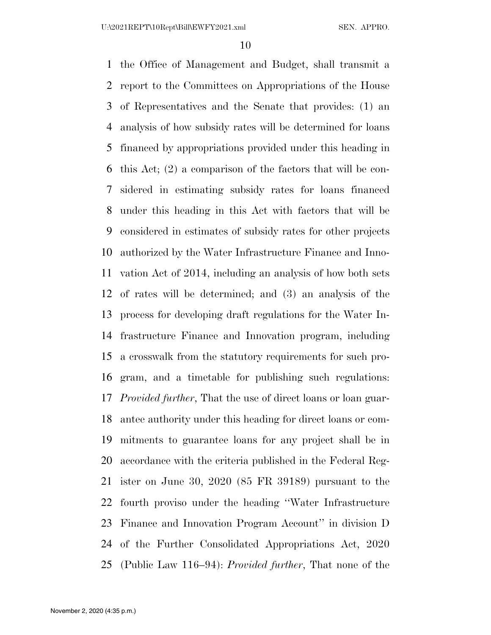the Office of Management and Budget, shall transmit a report to the Committees on Appropriations of the House of Representatives and the Senate that provides: (1) an analysis of how subsidy rates will be determined for loans financed by appropriations provided under this heading in this Act; (2) a comparison of the factors that will be con- sidered in estimating subsidy rates for loans financed under this heading in this Act with factors that will be considered in estimates of subsidy rates for other projects authorized by the Water Infrastructure Finance and Inno- vation Act of 2014, including an analysis of how both sets of rates will be determined; and (3) an analysis of the process for developing draft regulations for the Water In- frastructure Finance and Innovation program, including a crosswalk from the statutory requirements for such pro- gram, and a timetable for publishing such regulations: *Provided further*, That the use of direct loans or loan guar- antee authority under this heading for direct loans or com- mitments to guarantee loans for any project shall be in accordance with the criteria published in the Federal Reg- ister on June 30, 2020 (85 FR 39189) pursuant to the fourth proviso under the heading ''Water Infrastructure Finance and Innovation Program Account'' in division D of the Further Consolidated Appropriations Act, 2020 (Public Law 116–94): *Provided further*, That none of the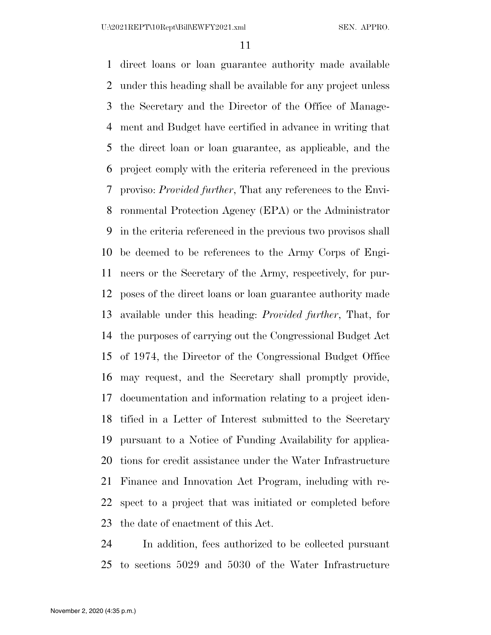direct loans or loan guarantee authority made available under this heading shall be available for any project unless the Secretary and the Director of the Office of Manage- ment and Budget have certified in advance in writing that the direct loan or loan guarantee, as applicable, and the project comply with the criteria referenced in the previous proviso: *Provided further*, That any references to the Envi- ronmental Protection Agency (EPA) or the Administrator in the criteria referenced in the previous two provisos shall be deemed to be references to the Army Corps of Engi- neers or the Secretary of the Army, respectively, for pur- poses of the direct loans or loan guarantee authority made available under this heading: *Provided further*, That, for the purposes of carrying out the Congressional Budget Act of 1974, the Director of the Congressional Budget Office may request, and the Secretary shall promptly provide, documentation and information relating to a project iden- tified in a Letter of Interest submitted to the Secretary pursuant to a Notice of Funding Availability for applica- tions for credit assistance under the Water Infrastructure Finance and Innovation Act Program, including with re- spect to a project that was initiated or completed before the date of enactment of this Act.

 In addition, fees authorized to be collected pursuant to sections 5029 and 5030 of the Water Infrastructure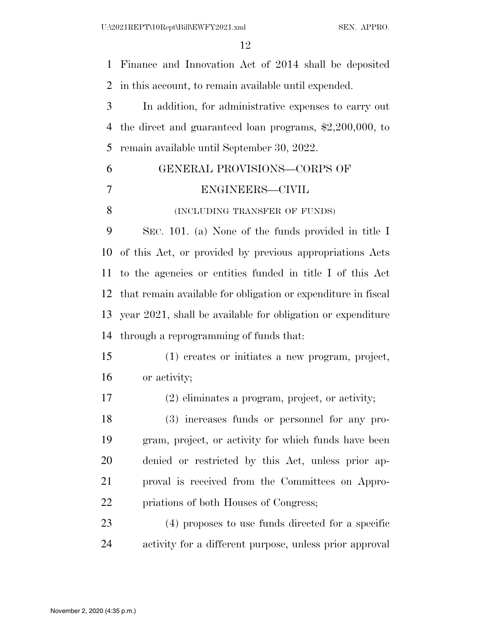U:\2021REPT\10Rept\Bill\EWFY2021.xml SEN. APPRO.

 Finance and Innovation Act of 2014 shall be deposited in this account, to remain available until expended. In addition, for administrative expenses to carry out the direct and guaranteed loan programs, \$2,200,000, to remain available until September 30, 2022. GENERAL PROVISIONS—CORPS OF ENGINEERS—CIVIL 8 (INCLUDING TRANSFER OF FUNDS) SEC. 101. (a) None of the funds provided in title I of this Act, or provided by previous appropriations Acts to the agencies or entities funded in title I of this Act that remain available for obligation or expenditure in fiscal year 2021, shall be available for obligation or expenditure through a reprogramming of funds that: (1) creates or initiates a new program, project, or activity; (2) eliminates a program, project, or activity; (3) increases funds or personnel for any pro- gram, project, or activity for which funds have been denied or restricted by this Act, unless prior ap- proval is received from the Committees on Appro- priations of both Houses of Congress; (4) proposes to use funds directed for a specific activity for a different purpose, unless prior approval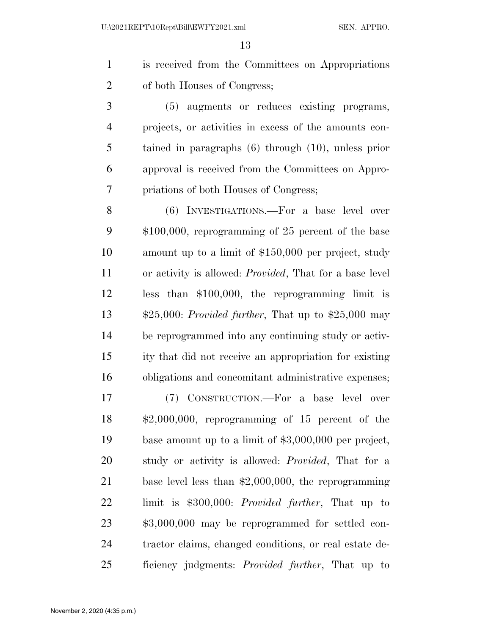is received from the Committees on Appropriations of both Houses of Congress; (5) augments or reduces existing programs, projects, or activities in excess of the amounts con- tained in paragraphs (6) through (10), unless prior approval is received from the Committees on Appro- priations of both Houses of Congress; (6) INVESTIGATIONS.—For a base level over \$100,000, reprogramming of 25 percent of the base amount up to a limit of \$150,000 per project, study or activity is allowed: *Provided*, That for a base level less than \$100,000, the reprogramming limit is \$25,000: *Provided further*, That up to \$25,000 may be reprogrammed into any continuing study or activ- ity that did not receive an appropriation for existing obligations and concomitant administrative expenses; (7) CONSTRUCTION.—For a base level over \$2,000,000, reprogramming of 15 percent of the base amount up to a limit of \$3,000,000 per project, study or activity is allowed: *Provided*, That for a base level less than \$2,000,000, the reprogramming limit is \$300,000: *Provided further*, That up to \$3,000,000 may be reprogrammed for settled con- tractor claims, changed conditions, or real estate de-ficiency judgments: *Provided further*, That up to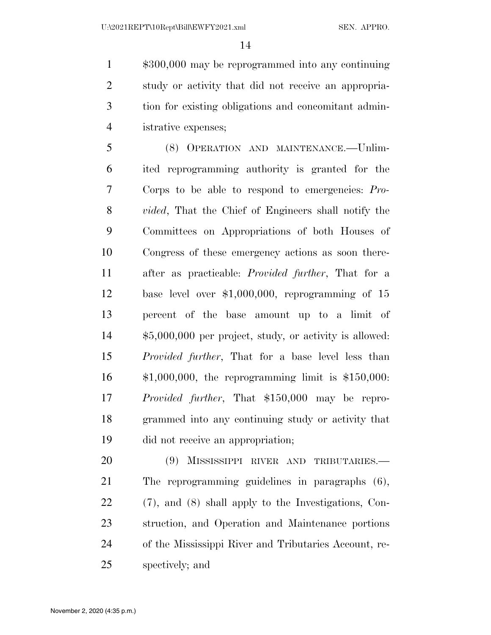\$300,000 may be reprogrammed into any continuing study or activity that did not receive an appropria- tion for existing obligations and concomitant admin-istrative expenses;

 (8) OPERATION AND MAINTENANCE.—Unlim- ited reprogramming authority is granted for the Corps to be able to respond to emergencies: *Pro- vided*, That the Chief of Engineers shall notify the Committees on Appropriations of both Houses of Congress of these emergency actions as soon there- after as practicable: *Provided further*, That for a base level over \$1,000,000, reprogramming of 15 percent of the base amount up to a limit of \$5,000,000 per project, study, or activity is allowed: *Provided further*, That for a base level less than \$1,000,000, the reprogramming limit is \$150,000: *Provided further*, That \$150,000 may be repro- grammed into any continuing study or activity that did not receive an appropriation;

 (9) MISSISSIPPI RIVER AND TRIBUTARIES.— The reprogramming guidelines in paragraphs (6), (7), and (8) shall apply to the Investigations, Con- struction, and Operation and Maintenance portions of the Mississippi River and Tributaries Account, re-spectively; and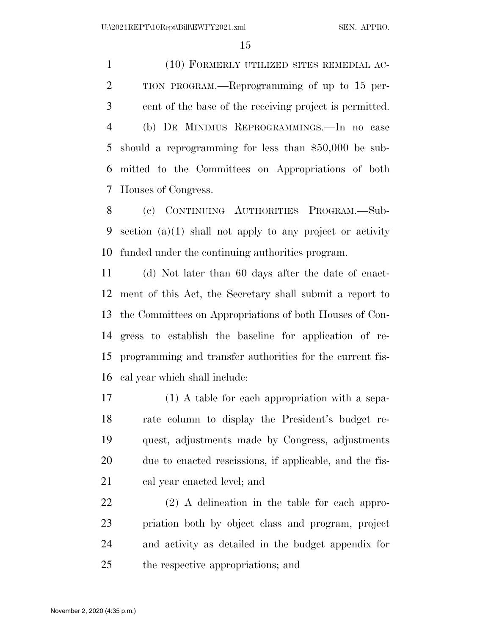(10) FORMERLY UTILIZED SITES REMEDIAL AC- TION PROGRAM.—Reprogramming of up to 15 per- cent of the base of the receiving project is permitted. (b) DE MINIMUS REPROGRAMMINGS.—In no case should a reprogramming for less than \$50,000 be sub- mitted to the Committees on Appropriations of both Houses of Congress.

 (c) CONTINUING AUTHORITIES PROGRAM.—Sub- section (a)(1) shall not apply to any project or activity funded under the continuing authorities program.

 (d) Not later than 60 days after the date of enact- ment of this Act, the Secretary shall submit a report to the Committees on Appropriations of both Houses of Con- gress to establish the baseline for application of re- programming and transfer authorities for the current fis-cal year which shall include:

 (1) A table for each appropriation with a sepa- rate column to display the President's budget re- quest, adjustments made by Congress, adjustments due to enacted rescissions, if applicable, and the fis-cal year enacted level; and

 (2) A delineation in the table for each appro- priation both by object class and program, project and activity as detailed in the budget appendix for the respective appropriations; and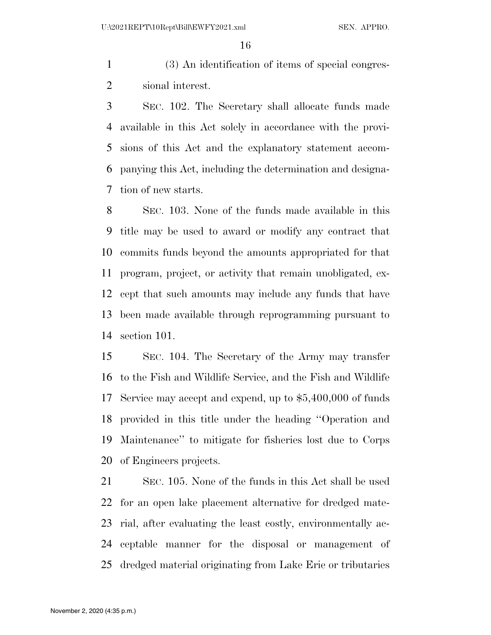(3) An identification of items of special congres-sional interest.

 SEC. 102. The Secretary shall allocate funds made available in this Act solely in accordance with the provi- sions of this Act and the explanatory statement accom- panying this Act, including the determination and designa-tion of new starts.

 SEC. 103. None of the funds made available in this title may be used to award or modify any contract that commits funds beyond the amounts appropriated for that program, project, or activity that remain unobligated, ex- cept that such amounts may include any funds that have been made available through reprogramming pursuant to section 101.

 SEC. 104. The Secretary of the Army may transfer to the Fish and Wildlife Service, and the Fish and Wildlife Service may accept and expend, up to \$5,400,000 of funds provided in this title under the heading ''Operation and Maintenance'' to mitigate for fisheries lost due to Corps of Engineers projects.

 SEC. 105. None of the funds in this Act shall be used for an open lake placement alternative for dredged mate- rial, after evaluating the least costly, environmentally ac- ceptable manner for the disposal or management of dredged material originating from Lake Erie or tributaries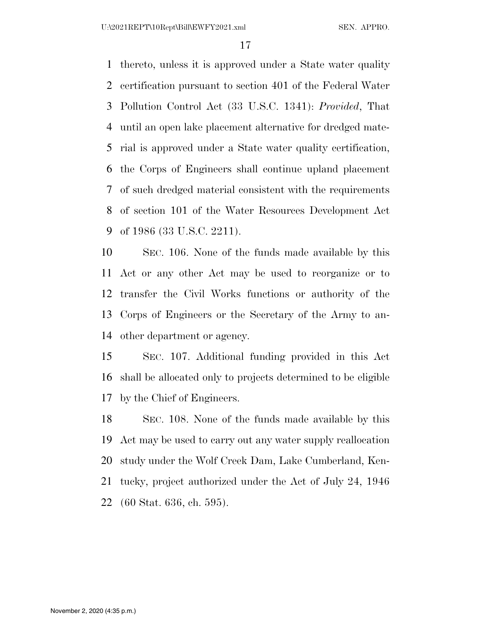thereto, unless it is approved under a State water quality certification pursuant to section 401 of the Federal Water Pollution Control Act (33 U.S.C. 1341): *Provided*, That until an open lake placement alternative for dredged mate- rial is approved under a State water quality certification, the Corps of Engineers shall continue upland placement of such dredged material consistent with the requirements of section 101 of the Water Resources Development Act of 1986 (33 U.S.C. 2211).

 SEC. 106. None of the funds made available by this Act or any other Act may be used to reorganize or to transfer the Civil Works functions or authority of the Corps of Engineers or the Secretary of the Army to an-other department or agency.

 SEC. 107. Additional funding provided in this Act shall be allocated only to projects determined to be eligible by the Chief of Engineers.

 SEC. 108. None of the funds made available by this Act may be used to carry out any water supply reallocation study under the Wolf Creek Dam, Lake Cumberland, Ken- tucky, project authorized under the Act of July 24, 1946 (60 Stat. 636, ch. 595).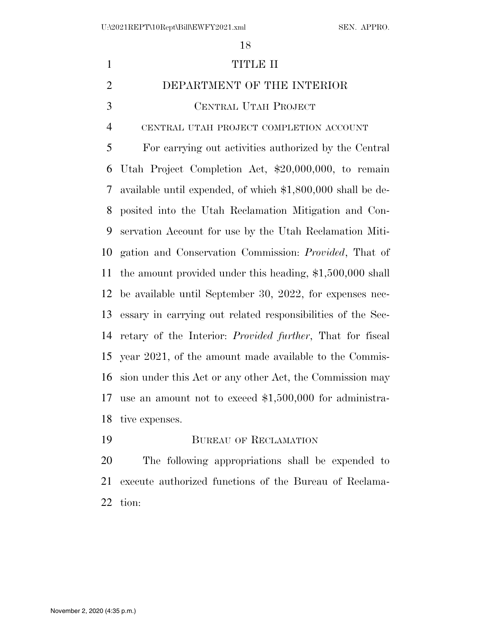| $\mathbf{1}$   | <b>TITLE II</b>                                                   |
|----------------|-------------------------------------------------------------------|
| $\overline{2}$ | DEPARTMENT OF THE INTERIOR                                        |
| 3              | CENTRAL UTAH PROJECT                                              |
| $\overline{4}$ | CENTRAL UTAH PROJECT COMPLETION ACCOUNT                           |
| 5              | For carrying out activities authorized by the Central             |
| 6              | Utah Project Completion Act, \$20,000,000, to remain              |
| $\tau$         | available until expended, of which \$1,800,000 shall be de-       |
| 8              | posited into the Utah Reclamation Mitigation and Con-             |
| 9              | servation Account for use by the Utah Reclamation Miti-           |
| 10             | gation and Conservation Commission: <i>Provided</i> , That of     |
| 11             | the amount provided under this heading, $$1,500,000$ shall        |
| 12             | be available until September 30, 2022, for expenses nec-          |
| 13             | essary in carrying out related responsibilities of the Sec-       |
| 14             | retary of the Interior: <i>Provided further</i> , That for fiscal |
| 15             | year 2021, of the amount made available to the Commis-            |
| 16             | sion under this Act or any other Act, the Commission may          |
| 17             | use an amount not to exceed $$1,500,000$ for administra-          |
| 18             | tive expenses.                                                    |
| 19             | <b>BUREAU OF RECLAMATION</b>                                      |
|                |                                                                   |

 The following appropriations shall be expended to execute authorized functions of the Bureau of Reclama-tion: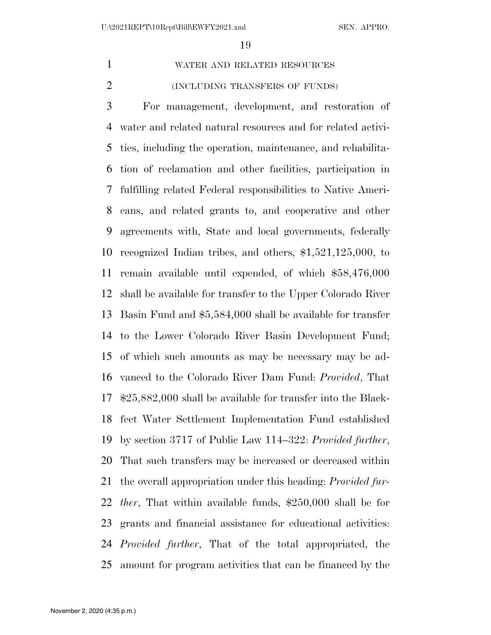WATER AND RELATED RESOURCES

(INCLUDING TRANSFERS OF FUNDS)

 For management, development, and restoration of water and related natural resources and for related activi- ties, including the operation, maintenance, and rehabilita- tion of reclamation and other facilities, participation in fulfilling related Federal responsibilities to Native Ameri- cans, and related grants to, and cooperative and other agreements with, State and local governments, federally recognized Indian tribes, and others, \$1,521,125,000, to remain available until expended, of which \$58,476,000 shall be available for transfer to the Upper Colorado River Basin Fund and \$5,584,000 shall be available for transfer to the Lower Colorado River Basin Development Fund; of which such amounts as may be necessary may be ad- vanced to the Colorado River Dam Fund: *Provided*, That \$25,882,000 shall be available for transfer into the Black- feet Water Settlement Implementation Fund established by section 3717 of Public Law 114–322: *Provided further*, That such transfers may be increased or decreased within the overall appropriation under this heading: *Provided fur- ther*, That within available funds, \$250,000 shall be for grants and financial assistance for educational activities: *Provided further*, That of the total appropriated, the amount for program activities that can be financed by the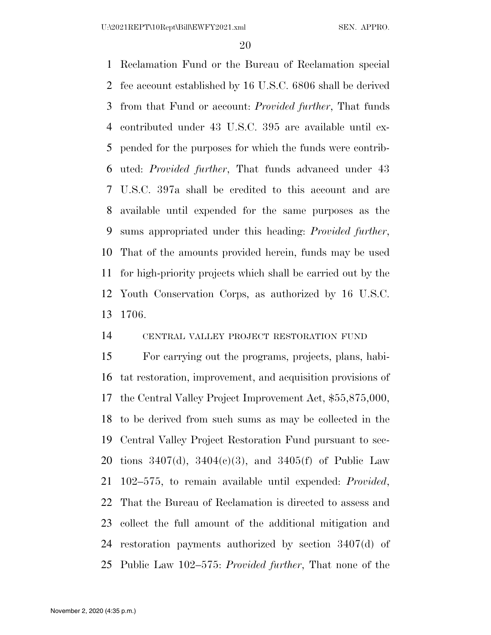Reclamation Fund or the Bureau of Reclamation special fee account established by 16 U.S.C. 6806 shall be derived from that Fund or account: *Provided further*, That funds contributed under 43 U.S.C. 395 are available until ex- pended for the purposes for which the funds were contrib- uted: *Provided further*, That funds advanced under 43 U.S.C. 397a shall be credited to this account and are available until expended for the same purposes as the sums appropriated under this heading: *Provided further*, That of the amounts provided herein, funds may be used for high-priority projects which shall be carried out by the Youth Conservation Corps, as authorized by 16 U.S.C. 1706.

#### CENTRAL VALLEY PROJECT RESTORATION FUND

 For carrying out the programs, projects, plans, habi- tat restoration, improvement, and acquisition provisions of the Central Valley Project Improvement Act, \$55,875,000, to be derived from such sums as may be collected in the Central Valley Project Restoration Fund pursuant to sec- tions 3407(d), 3404(c)(3), and 3405(f) of Public Law 102–575, to remain available until expended: *Provided*, That the Bureau of Reclamation is directed to assess and collect the full amount of the additional mitigation and restoration payments authorized by section 3407(d) of Public Law 102–575: *Provided further*, That none of the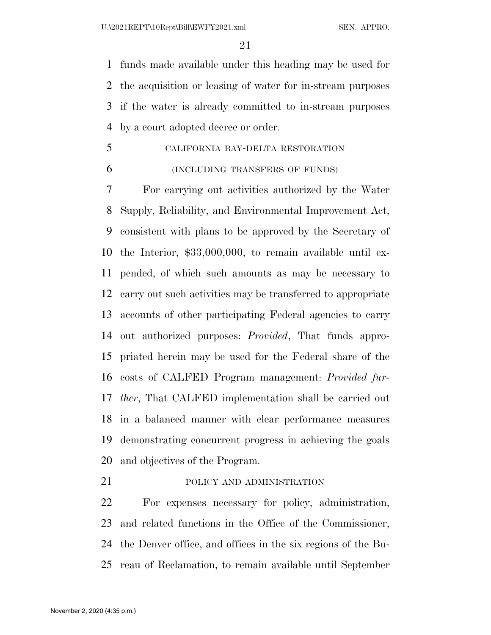funds made available under this heading may be used for the acquisition or leasing of water for in-stream purposes if the water is already committed to in-stream purposes by a court adopted decree or order.

- CALIFORNIA BAY-DELTA RESTORATION
- 

#### (INCLUDING TRANSFERS OF FUNDS)

 For carrying out activities authorized by the Water Supply, Reliability, and Environmental Improvement Act, consistent with plans to be approved by the Secretary of the Interior, \$33,000,000, to remain available until ex- pended, of which such amounts as may be necessary to carry out such activities may be transferred to appropriate accounts of other participating Federal agencies to carry out authorized purposes: *Provided*, That funds appro- priated herein may be used for the Federal share of the costs of CALFED Program management: *Provided fur- ther*, That CALFED implementation shall be carried out in a balanced manner with clear performance measures demonstrating concurrent progress in achieving the goals and objectives of the Program.

21 POLICY AND ADMINISTRATION

 For expenses necessary for policy, administration, and related functions in the Office of the Commissioner, the Denver office, and offices in the six regions of the Bu-reau of Reclamation, to remain available until September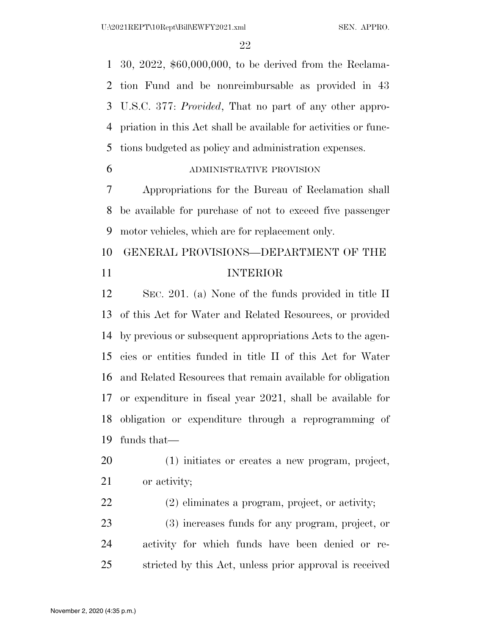30, 2022, \$60,000,000, to be derived from the Reclama- tion Fund and be nonreimbursable as provided in 43 U.S.C. 377: *Provided*, That no part of any other appro- priation in this Act shall be available for activities or func-tions budgeted as policy and administration expenses.

ADMINISTRATIVE PROVISION

 Appropriations for the Bureau of Reclamation shall be available for purchase of not to exceed five passenger motor vehicles, which are for replacement only.

# GENERAL PROVISIONS—DEPARTMENT OF THE INTERIOR

 SEC. 201. (a) None of the funds provided in title II of this Act for Water and Related Resources, or provided by previous or subsequent appropriations Acts to the agen- cies or entities funded in title II of this Act for Water and Related Resources that remain available for obligation or expenditure in fiscal year 2021, shall be available for obligation or expenditure through a reprogramming of funds that—

- (1) initiates or creates a new program, project, 21 or activity;
- (2) eliminates a program, project, or activity;
- (3) increases funds for any program, project, or activity for which funds have been denied or re-stricted by this Act, unless prior approval is received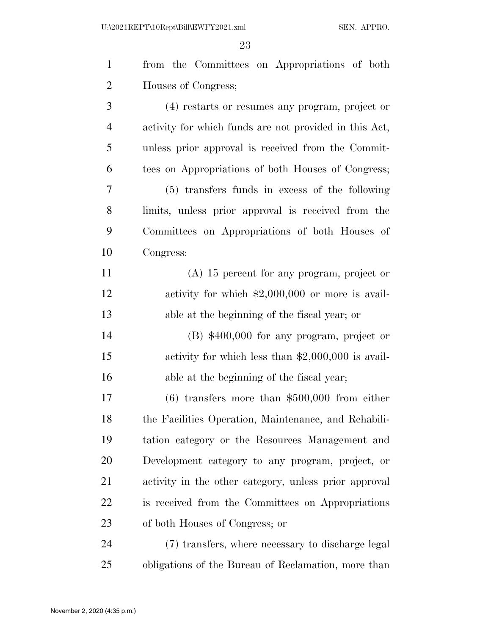| $\mathbf{1}$   | from the Committees on Appropriations of both          |
|----------------|--------------------------------------------------------|
| 2              | Houses of Congress;                                    |
| 3              | (4) restarts or resumes any program, project or        |
| $\overline{4}$ | activity for which funds are not provided in this Act, |
| 5              | unless prior approval is received from the Commit-     |
| 6              | tees on Appropriations of both Houses of Congress;     |
| 7              | (5) transfers funds in excess of the following         |
| 8              | limits, unless prior approval is received from the     |
| 9              | Committees on Appropriations of both Houses of         |
| 10             | Congress:                                              |
| 11             | $(A)$ 15 percent for any program, project or           |
| 12             | activity for which $$2,000,000$ or more is avail-      |
| 13             | able at the beginning of the fiscal year; or           |
| 14             | $(B)$ \$400,000 for any program, project or            |
| 15             | activity for which less than $$2,000,000$ is avail-    |
| 16             | able at the beginning of the fiscal year;              |
| 17             | $(6)$ transfers more than \$500,000 from either        |
| 18             | the Facilities Operation, Maintenance, and Rehabili-   |
| 19             | tation category or the Resources Management and        |
| 20             | Development category to any program, project, or       |
| 21             | activity in the other category, unless prior approval  |
| 22             | is received from the Committees on Appropriations      |
| 23             | of both Houses of Congress; or                         |
| 24             | (7) transfers, where necessary to discharge legal      |
| 25             | obligations of the Bureau of Reclamation, more than    |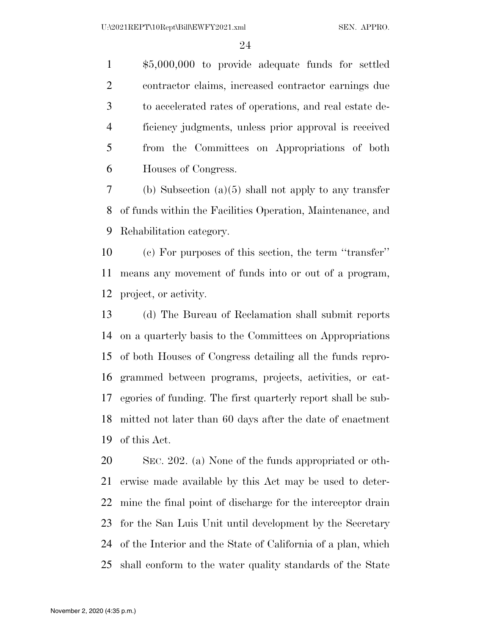\$5,000,000 to provide adequate funds for settled contractor claims, increased contractor earnings due to accelerated rates of operations, and real estate de- ficiency judgments, unless prior approval is received from the Committees on Appropriations of both Houses of Congress.

 (b) Subsection (a)(5) shall not apply to any transfer of funds within the Facilities Operation, Maintenance, and Rehabilitation category.

 (c) For purposes of this section, the term ''transfer'' means any movement of funds into or out of a program, project, or activity.

 (d) The Bureau of Reclamation shall submit reports on a quarterly basis to the Committees on Appropriations of both Houses of Congress detailing all the funds repro- grammed between programs, projects, activities, or cat- egories of funding. The first quarterly report shall be sub- mitted not later than 60 days after the date of enactment of this Act.

 SEC. 202. (a) None of the funds appropriated or oth- erwise made available by this Act may be used to deter- mine the final point of discharge for the interceptor drain for the San Luis Unit until development by the Secretary of the Interior and the State of California of a plan, which shall conform to the water quality standards of the State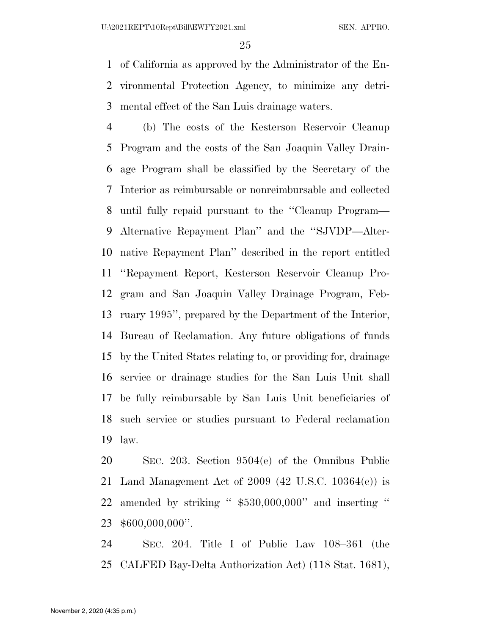of California as approved by the Administrator of the En- vironmental Protection Agency, to minimize any detri-mental effect of the San Luis drainage waters.

 (b) The costs of the Kesterson Reservoir Cleanup Program and the costs of the San Joaquin Valley Drain- age Program shall be classified by the Secretary of the Interior as reimbursable or nonreimbursable and collected until fully repaid pursuant to the ''Cleanup Program— Alternative Repayment Plan'' and the ''SJVDP—Alter- native Repayment Plan'' described in the report entitled ''Repayment Report, Kesterson Reservoir Cleanup Pro- gram and San Joaquin Valley Drainage Program, Feb- ruary 1995'', prepared by the Department of the Interior, Bureau of Reclamation. Any future obligations of funds by the United States relating to, or providing for, drainage service or drainage studies for the San Luis Unit shall be fully reimbursable by San Luis Unit beneficiaries of such service or studies pursuant to Federal reclamation law.

 SEC. 203. Section 9504(e) of the Omnibus Public Land Management Act of 2009 (42 U.S.C. 10364(e)) is amended by striking '' \$530,000,000'' and inserting '' \$600,000,000''.

 SEC. 204. Title I of Public Law 108–361 (the CALFED Bay-Delta Authorization Act) (118 Stat. 1681),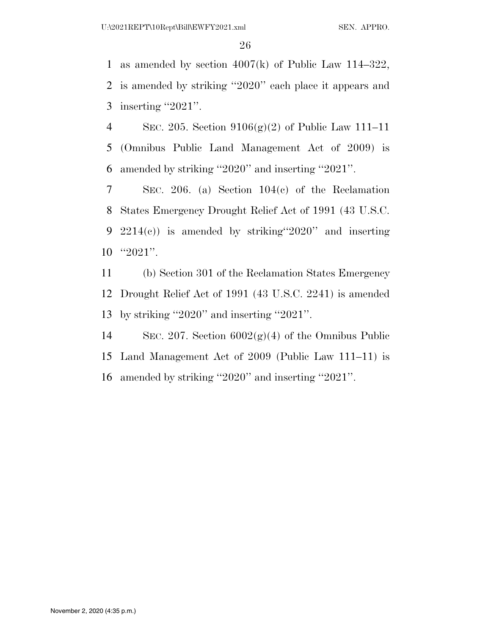as amended by section 4007(k) of Public Law 114–322, is amended by striking ''2020'' each place it appears and 3 inserting "2021".

 SEC. 205. Section 9106(g)(2) of Public Law 111–11 (Omnibus Public Land Management Act of 2009) is amended by striking ''2020'' and inserting ''2021''.

 SEC. 206. (a) Section 104(c) of the Reclamation States Emergency Drought Relief Act of 1991 (43 U.S.C. 2214(c)) is amended by striking''2020'' and inserting ''2021''.

 (b) Section 301 of the Reclamation States Emergency Drought Relief Act of 1991 (43 U.S.C. 2241) is amended by striking ''2020'' and inserting ''2021''.

14 SEC. 207. Section  $6002(g)(4)$  of the Omnibus Public Land Management Act of 2009 (Public Law 111–11) is amended by striking ''2020'' and inserting ''2021''.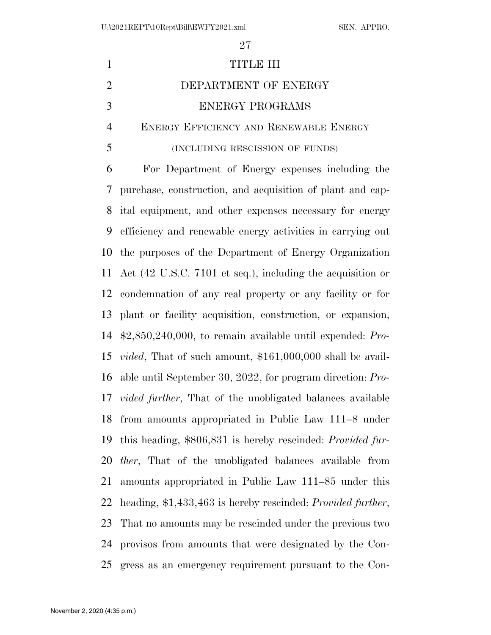| $\mathbf{1}$   | TITLE III                                                            |
|----------------|----------------------------------------------------------------------|
| $\overline{2}$ | DEPARTMENT OF ENERGY                                                 |
| 3              | <b>ENERGY PROGRAMS</b>                                               |
| $\overline{4}$ | ENERGY EFFICIENCY AND RENEWABLE ENERGY                               |
| 5              | (INCLUDING RESCISSION OF FUNDS)                                      |
| 6              | For Department of Energy expenses including the                      |
| 7              | purchase, construction, and acquisition of plant and cap-            |
| 8              | ital equipment, and other expenses necessary for energy              |
| 9              | efficiency and renewable energy activities in carrying out           |
| 10             | the purposes of the Department of Energy Organization                |
| 11             | Act (42 U.S.C. 7101 et seq.), including the acquisition or           |
| 12             | condemnation of any real property or any facility or for             |
| 13             | plant or facility acquisition, construction, or expansion,           |
| 14             | $\text{$}2,850,240,000,$ to remain available until expended: Pro-    |
| 15             | <i>vided</i> , That of such amount, $$161,000,000$ shall be avail-   |
| 16             | able until September 30, 2022, for program direction: $Pro-$         |
|                | 17 <i>vided further</i> , That of the unobligated balances available |
| 18             | from amounts appropriated in Public Law 111–8 under                  |
| 19             | this heading, \$806,831 is hereby rescinded: <i>Provided fur-</i>    |
| 20             | <i>ther</i> , That of the unobligated balances available from        |
| 21             | amounts appropriated in Public Law 111–85 under this                 |
| 22             | heading, \$1,433,463 is hereby rescinded: <i>Provided further</i> ,  |
| 23             | That no amounts may be rescinded under the previous two              |
| 24             | provisos from amounts that were designated by the Con-               |
| 25             | gress as an emergency requirement pursuant to the Con-               |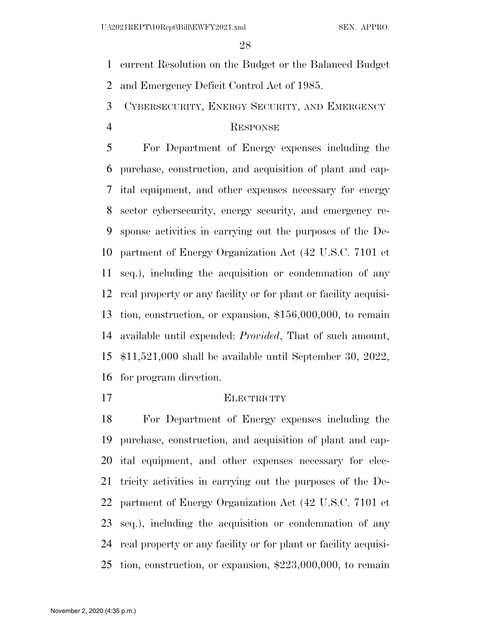current Resolution on the Budget or the Balanced Budget

and Emergency Deficit Control Act of 1985.

CYBERSECURITY, ENERGY SECURITY, AND EMERGENCY

## RESPONSE

 For Department of Energy expenses including the purchase, construction, and acquisition of plant and cap- ital equipment, and other expenses necessary for energy sector cybersecurity, energy security, and emergency re- sponse activities in carrying out the purposes of the De- partment of Energy Organization Act (42 U.S.C. 7101 et seq.), including the acquisition or condemnation of any real property or any facility or for plant or facility acquisi- tion, construction, or expansion, \$156,000,000, to remain available until expended: *Provided*, That of such amount, \$11,521,000 shall be available until September 30, 2022, for program direction.

# ELECTRICITY

 For Department of Energy expenses including the purchase, construction, and acquisition of plant and cap- ital equipment, and other expenses necessary for elec- tricity activities in carrying out the purposes of the De- partment of Energy Organization Act (42 U.S.C. 7101 et seq.), including the acquisition or condemnation of any real property or any facility or for plant or facility acquisi-tion, construction, or expansion, \$223,000,000, to remain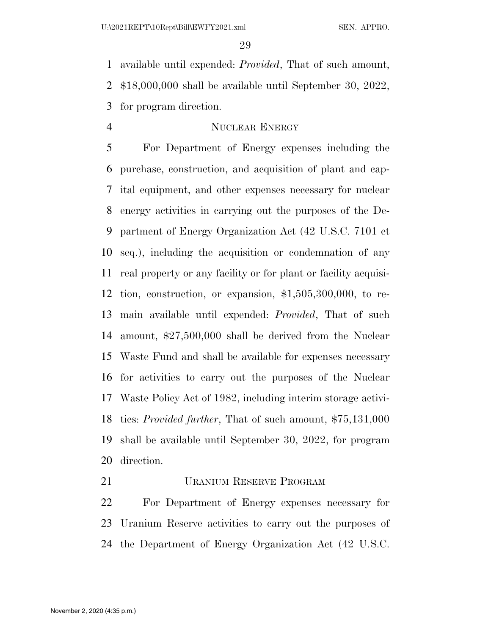available until expended: *Provided*, That of such amount, \$18,000,000 shall be available until September 30, 2022, for program direction.

## 4 NUCLEAR ENERGY

 For Department of Energy expenses including the purchase, construction, and acquisition of plant and cap- ital equipment, and other expenses necessary for nuclear energy activities in carrying out the purposes of the De- partment of Energy Organization Act (42 U.S.C. 7101 et seq.), including the acquisition or condemnation of any real property or any facility or for plant or facility acquisi- tion, construction, or expansion, \$1,505,300,000, to re- main available until expended: *Provided*, That of such amount, \$27,500,000 shall be derived from the Nuclear Waste Fund and shall be available for expenses necessary for activities to carry out the purposes of the Nuclear Waste Policy Act of 1982, including interim storage activi- ties: *Provided further*, That of such amount, \$75,131,000 shall be available until September 30, 2022, for program direction.

URANIUM RESERVE PROGRAM

 For Department of Energy expenses necessary for Uranium Reserve activities to carry out the purposes of the Department of Energy Organization Act (42 U.S.C.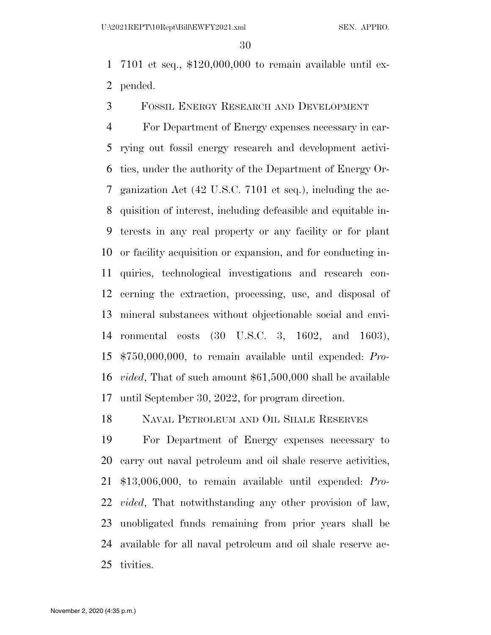7101 et seq., \$120,000,000 to remain available until ex-pended.

FOSSIL ENERGY RESEARCH AND DEVELOPMENT

 For Department of Energy expenses necessary in car- rying out fossil energy research and development activi- ties, under the authority of the Department of Energy Or- ganization Act (42 U.S.C. 7101 et seq.), including the ac- quisition of interest, including defeasible and equitable in- terests in any real property or any facility or for plant or facility acquisition or expansion, and for conducting in- quiries, technological investigations and research con- cerning the extraction, processing, use, and disposal of mineral substances without objectionable social and envi- ronmental costs (30 U.S.C. 3, 1602, and 1603), \$750,000,000, to remain available until expended: *Pro- vided*, That of such amount \$61,500,000 shall be available until September 30, 2022, for program direction.

NAVAL PETROLEUM AND OIL SHALE RESERVES

 For Department of Energy expenses necessary to carry out naval petroleum and oil shale reserve activities, \$13,006,000, to remain available until expended: *Pro- vided*, That notwithstanding any other provision of law, unobligated funds remaining from prior years shall be available for all naval petroleum and oil shale reserve ac-tivities.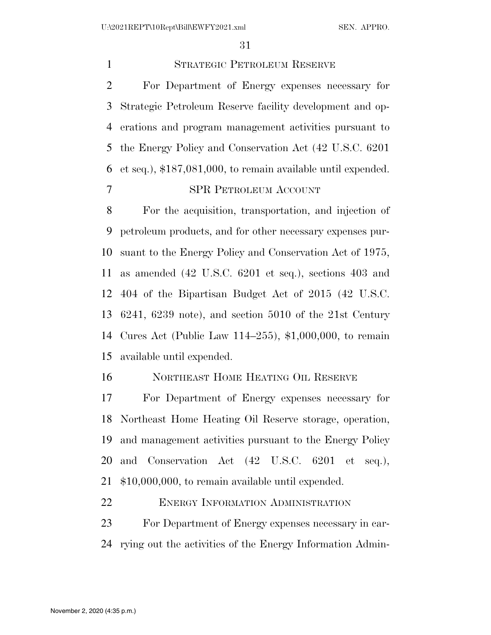STRATEGIC PETROLEUM RESERVE For Department of Energy expenses necessary for Strategic Petroleum Reserve facility development and op- erations and program management activities pursuant to the Energy Policy and Conservation Act (42 U.S.C. 6201 et seq.), \$187,081,000, to remain available until expended. SPR PETROLEUM ACCOUNT

 For the acquisition, transportation, and injection of petroleum products, and for other necessary expenses pur- suant to the Energy Policy and Conservation Act of 1975, as amended (42 U.S.C. 6201 et seq.), sections 403 and 404 of the Bipartisan Budget Act of 2015 (42 U.S.C. 6241, 6239 note), and section 5010 of the 21st Century Cures Act (Public Law 114–255), \$1,000,000, to remain available until expended.

NORTHEAST HOME HEATING OIL RESERVE

 For Department of Energy expenses necessary for Northeast Home Heating Oil Reserve storage, operation, and management activities pursuant to the Energy Policy and Conservation Act (42 U.S.C. 6201 et seq.), \$10,000,000, to remain available until expended.

22 ENERGY INFORMATION ADMINISTRATION

 For Department of Energy expenses necessary in car-rying out the activities of the Energy Information Admin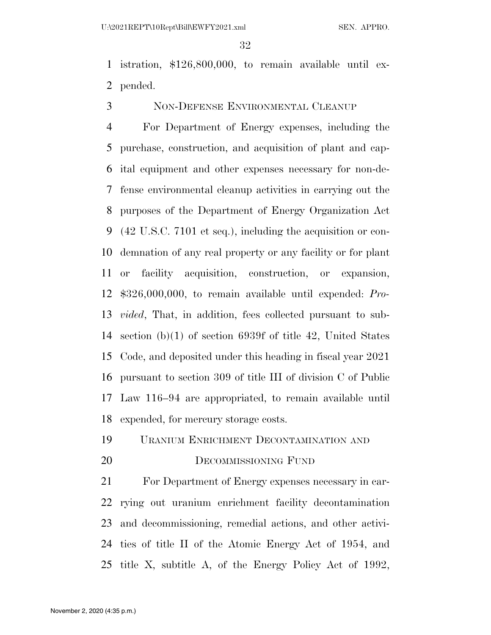istration, \$126,800,000, to remain available until ex-pended.

NON-DEFENSE ENVIRONMENTAL CLEANUP

 For Department of Energy expenses, including the purchase, construction, and acquisition of plant and cap- ital equipment and other expenses necessary for non-de- fense environmental cleanup activities in carrying out the purposes of the Department of Energy Organization Act (42 U.S.C. 7101 et seq.), including the acquisition or con- demnation of any real property or any facility or for plant or facility acquisition, construction, or expansion, \$326,000,000, to remain available until expended: *Pro- vided*, That, in addition, fees collected pursuant to sub- section (b)(1) of section 6939f of title 42, United States Code, and deposited under this heading in fiscal year 2021 pursuant to section 309 of title III of division C of Public Law 116–94 are appropriated, to remain available until expended, for mercury storage costs.

URANIUM ENRICHMENT DECONTAMINATION AND

#### 20 DECOMMISSIONING FUND

 For Department of Energy expenses necessary in car- rying out uranium enrichment facility decontamination and decommissioning, remedial actions, and other activi- ties of title II of the Atomic Energy Act of 1954, and title X, subtitle A, of the Energy Policy Act of 1992,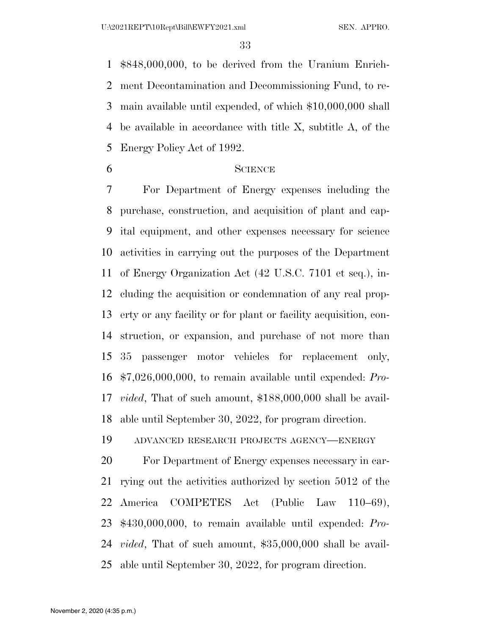\$848,000,000, to be derived from the Uranium Enrich- ment Decontamination and Decommissioning Fund, to re- main available until expended, of which \$10,000,000 shall be available in accordance with title X, subtitle A, of the Energy Policy Act of 1992.

#### SCIENCE

 For Department of Energy expenses including the purchase, construction, and acquisition of plant and cap- ital equipment, and other expenses necessary for science activities in carrying out the purposes of the Department of Energy Organization Act (42 U.S.C. 7101 et seq.), in- cluding the acquisition or condemnation of any real prop- erty or any facility or for plant or facility acquisition, con- struction, or expansion, and purchase of not more than 35 passenger motor vehicles for replacement only, \$7,026,000,000, to remain available until expended: *Pro- vided*, That of such amount, \$188,000,000 shall be avail-able until September 30, 2022, for program direction.

ADVANCED RESEARCH PROJECTS AGENCY—ENERGY

 For Department of Energy expenses necessary in car- rying out the activities authorized by section 5012 of the America COMPETES Act (Public Law 110–69), \$430,000,000, to remain available until expended: *Pro- vided*, That of such amount, \$35,000,000 shall be avail-able until September 30, 2022, for program direction.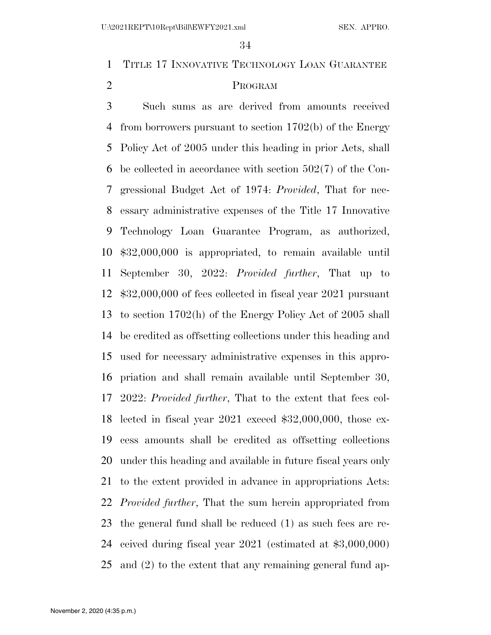TITLE 17 INNOVATIVE TECHNOLOGY LOAN GUARANTEE PROGRAM

 Such sums as are derived from amounts received from borrowers pursuant to section 1702(b) of the Energy Policy Act of 2005 under this heading in prior Acts, shall be collected in accordance with section 502(7) of the Con- gressional Budget Act of 1974: *Provided*, That for nec- essary administrative expenses of the Title 17 Innovative Technology Loan Guarantee Program, as authorized, \$32,000,000 is appropriated, to remain available until September 30, 2022: *Provided further*, That up to \$32,000,000 of fees collected in fiscal year 2021 pursuant to section 1702(h) of the Energy Policy Act of 2005 shall be credited as offsetting collections under this heading and used for necessary administrative expenses in this appro- priation and shall remain available until September 30, 2022: *Provided further*, That to the extent that fees col- lected in fiscal year 2021 exceed \$32,000,000, those ex- cess amounts shall be credited as offsetting collections under this heading and available in future fiscal years only to the extent provided in advance in appropriations Acts: *Provided further*, That the sum herein appropriated from the general fund shall be reduced (1) as such fees are re- ceived during fiscal year 2021 (estimated at \$3,000,000) and (2) to the extent that any remaining general fund ap-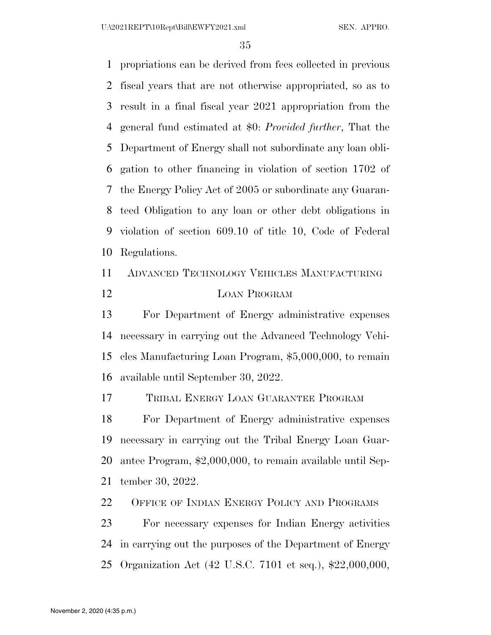propriations can be derived from fees collected in previous fiscal years that are not otherwise appropriated, so as to result in a final fiscal year 2021 appropriation from the general fund estimated at \$0: *Provided further*, That the Department of Energy shall not subordinate any loan obli- gation to other financing in violation of section 1702 of the Energy Policy Act of 2005 or subordinate any Guaran- teed Obligation to any loan or other debt obligations in violation of section 609.10 of title 10, Code of Federal Regulations.

 ADVANCED TECHNOLOGY VEHICLES MANUFACTURING LOAN PROGRAM

 For Department of Energy administrative expenses necessary in carrying out the Advanced Technology Vehi- cles Manufacturing Loan Program, \$5,000,000, to remain available until September 30, 2022.

TRIBAL ENERGY LOAN GUARANTEE PROGRAM

 For Department of Energy administrative expenses necessary in carrying out the Tribal Energy Loan Guar- antee Program, \$2,000,000, to remain available until Sep-tember 30, 2022.

22 OFFICE OF INDIAN ENERGY POLICY AND PROGRAMS

 For necessary expenses for Indian Energy activities in carrying out the purposes of the Department of Energy Organization Act (42 U.S.C. 7101 et seq.), \$22,000,000,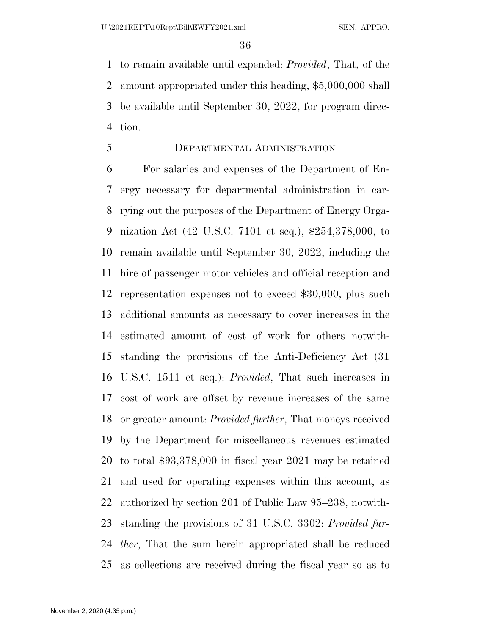to remain available until expended: *Provided*, That, of the amount appropriated under this heading, \$5,000,000 shall be available until September 30, 2022, for program direc-tion.

#### DEPARTMENTAL ADMINISTRATION

 For salaries and expenses of the Department of En- ergy necessary for departmental administration in car- rying out the purposes of the Department of Energy Orga- nization Act (42 U.S.C. 7101 et seq.), \$254,378,000, to remain available until September 30, 2022, including the hire of passenger motor vehicles and official reception and representation expenses not to exceed \$30,000, plus such additional amounts as necessary to cover increases in the estimated amount of cost of work for others notwith- standing the provisions of the Anti-Deficiency Act (31 U.S.C. 1511 et seq.): *Provided*, That such increases in cost of work are offset by revenue increases of the same or greater amount: *Provided further*, That moneys received by the Department for miscellaneous revenues estimated to total \$93,378,000 in fiscal year 2021 may be retained and used for operating expenses within this account, as authorized by section 201 of Public Law 95–238, notwith- standing the provisions of 31 U.S.C. 3302: *Provided fur- ther*, That the sum herein appropriated shall be reduced as collections are received during the fiscal year so as to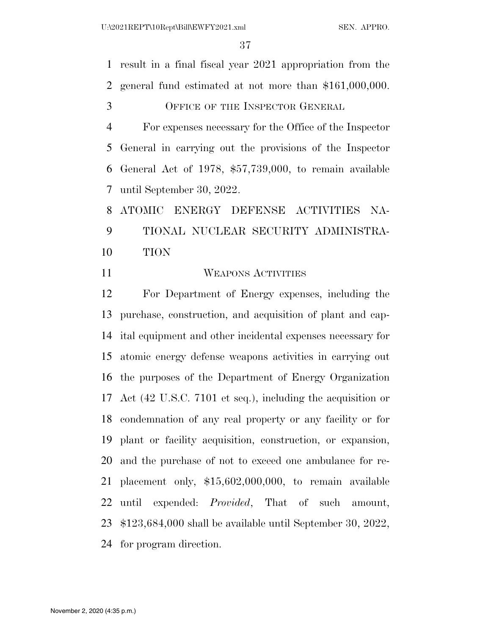result in a final fiscal year 2021 appropriation from the general fund estimated at not more than \$161,000,000.

OFFICE OF THE INSPECTOR GENERAL

 For expenses necessary for the Office of the Inspector General in carrying out the provisions of the Inspector General Act of 1978, \$57,739,000, to remain available until September 30, 2022.

 ATOMIC ENERGY DEFENSE ACTIVITIES NA- TIONAL NUCLEAR SECURITY ADMINISTRA-TION

#### WEAPONS ACTIVITIES

 For Department of Energy expenses, including the purchase, construction, and acquisition of plant and cap- ital equipment and other incidental expenses necessary for atomic energy defense weapons activities in carrying out the purposes of the Department of Energy Organization Act (42 U.S.C. 7101 et seq.), including the acquisition or condemnation of any real property or any facility or for plant or facility acquisition, construction, or expansion, and the purchase of not to exceed one ambulance for re- placement only, \$15,602,000,000, to remain available until expended: *Provided*, That of such amount, \$123,684,000 shall be available until September 30, 2022, for program direction.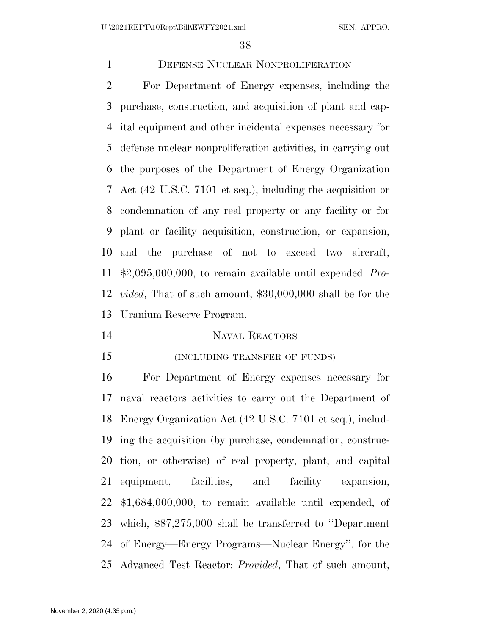# DEFENSE NUCLEAR NONPROLIFERATION

 For Department of Energy expenses, including the purchase, construction, and acquisition of plant and cap- ital equipment and other incidental expenses necessary for defense nuclear nonproliferation activities, in carrying out the purposes of the Department of Energy Organization Act (42 U.S.C. 7101 et seq.), including the acquisition or condemnation of any real property or any facility or for plant or facility acquisition, construction, or expansion, and the purchase of not to exceed two aircraft, \$2,095,000,000, to remain available until expended: *Pro- vided*, That of such amount, \$30,000,000 shall be for the Uranium Reserve Program.

#### NAVAL REACTORS

# (INCLUDING TRANSFER OF FUNDS)

 For Department of Energy expenses necessary for naval reactors activities to carry out the Department of Energy Organization Act (42 U.S.C. 7101 et seq.), includ- ing the acquisition (by purchase, condemnation, construc- tion, or otherwise) of real property, plant, and capital equipment, facilities, and facility expansion, \$1,684,000,000, to remain available until expended, of which, \$87,275,000 shall be transferred to ''Department of Energy—Energy Programs—Nuclear Energy'', for the Advanced Test Reactor: *Provided*, That of such amount,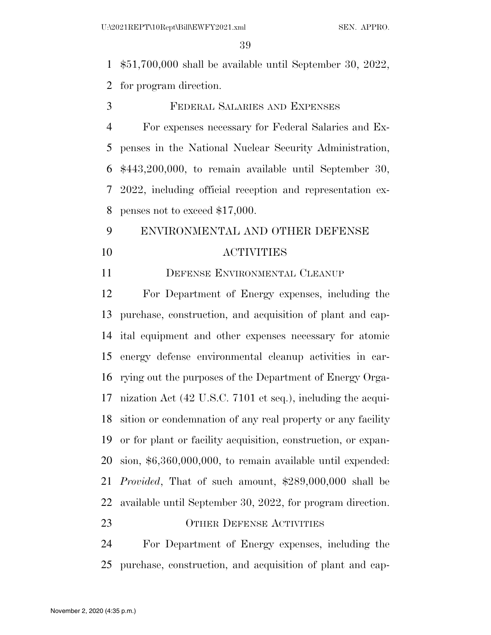\$51,700,000 shall be available until September 30, 2022,

for program direction.

FEDERAL SALARIES AND EXPENSES

 For expenses necessary for Federal Salaries and Ex- penses in the National Nuclear Security Administration, \$443,200,000, to remain available until September 30, 2022, including official reception and representation ex-penses not to exceed \$17,000.

# ENVIRONMENTAL AND OTHER DEFENSE ACTIVITIES

# 11 DEFENSE ENVIRONMENTAL CLEANUP

 For Department of Energy expenses, including the purchase, construction, and acquisition of plant and cap- ital equipment and other expenses necessary for atomic energy defense environmental cleanup activities in car- rying out the purposes of the Department of Energy Orga- nization Act (42 U.S.C. 7101 et seq.), including the acqui- sition or condemnation of any real property or any facility or for plant or facility acquisition, construction, or expan- sion, \$6,360,000,000, to remain available until expended: *Provided*, That of such amount, \$289,000,000 shall be available until September 30, 2022, for program direction. 23 OTHER DEFENSE ACTIVITIES

 For Department of Energy expenses, including the purchase, construction, and acquisition of plant and cap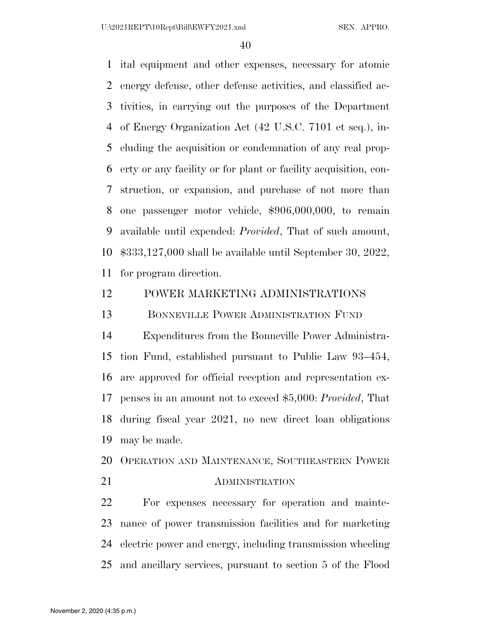U:\2021REPT\10Rept\Bill\EWFY2021.xml SEN. APPRO.

 ital equipment and other expenses, necessary for atomic energy defense, other defense activities, and classified ac- tivities, in carrying out the purposes of the Department of Energy Organization Act (42 U.S.C. 7101 et seq.), in- cluding the acquisition or condemnation of any real prop- erty or any facility or for plant or facility acquisition, con- struction, or expansion, and purchase of not more than one passenger motor vehicle, \$906,000,000, to remain available until expended: *Provided*, That of such amount, \$333,127,000 shall be available until September 30, 2022, for program direction.

# POWER MARKETING ADMINISTRATIONS

BONNEVILLE POWER ADMINISTRATION FUND

 Expenditures from the Bonneville Power Administra- tion Fund, established pursuant to Public Law 93–454, are approved for official reception and representation ex- penses in an amount not to exceed \$5,000: *Provided*, That during fiscal year 2021, no new direct loan obligations may be made.

OPERATION AND MAINTENANCE, SOUTHEASTERN POWER

### 21 ADMINISTRATION

 For expenses necessary for operation and mainte- nance of power transmission facilities and for marketing electric power and energy, including transmission wheeling and ancillary services, pursuant to section 5 of the Flood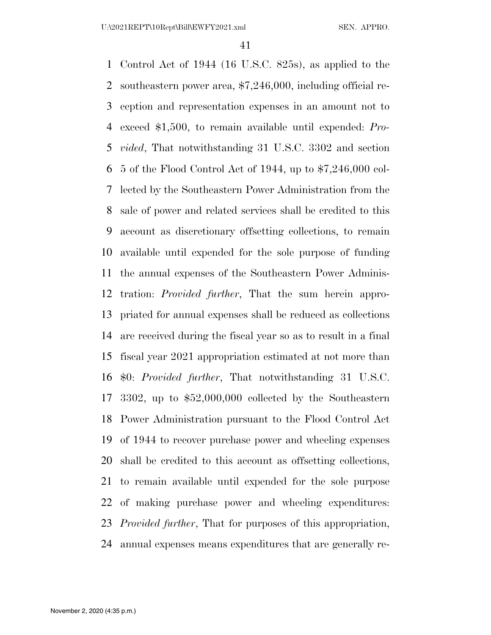Control Act of 1944 (16 U.S.C. 825s), as applied to the southeastern power area, \$7,246,000, including official re- ception and representation expenses in an amount not to exceed \$1,500, to remain available until expended: *Pro- vided*, That notwithstanding 31 U.S.C. 3302 and section 5 of the Flood Control Act of 1944, up to \$7,246,000 col- lected by the Southeastern Power Administration from the sale of power and related services shall be credited to this account as discretionary offsetting collections, to remain available until expended for the sole purpose of funding the annual expenses of the Southeastern Power Adminis- tration: *Provided further*, That the sum herein appro- priated for annual expenses shall be reduced as collections are received during the fiscal year so as to result in a final fiscal year 2021 appropriation estimated at not more than \$0: *Provided further*, That notwithstanding 31 U.S.C. 3302, up to \$52,000,000 collected by the Southeastern Power Administration pursuant to the Flood Control Act of 1944 to recover purchase power and wheeling expenses shall be credited to this account as offsetting collections, to remain available until expended for the sole purpose of making purchase power and wheeling expenditures: *Provided further*, That for purposes of this appropriation, annual expenses means expenditures that are generally re-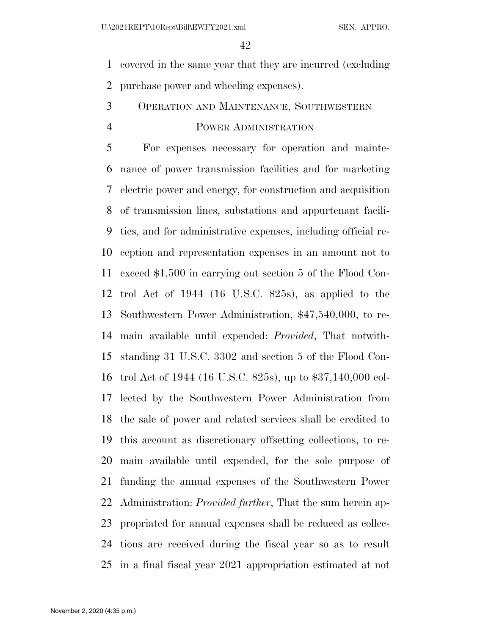covered in the same year that they are incurred (excluding purchase power and wheeling expenses).

# OPERATION AND MAINTENANCE, SOUTHWESTERN

### POWER ADMINISTRATION

 For expenses necessary for operation and mainte- nance of power transmission facilities and for marketing electric power and energy, for construction and acquisition of transmission lines, substations and appurtenant facili- ties, and for administrative expenses, including official re- ception and representation expenses in an amount not to exceed \$1,500 in carrying out section 5 of the Flood Con- trol Act of 1944 (16 U.S.C. 825s), as applied to the Southwestern Power Administration, \$47,540,000, to re- main available until expended: *Provided*, That notwith- standing 31 U.S.C. 3302 and section 5 of the Flood Con- trol Act of 1944 (16 U.S.C. 825s), up to \$37,140,000 col- lected by the Southwestern Power Administration from the sale of power and related services shall be credited to this account as discretionary offsetting collections, to re- main available until expended, for the sole purpose of funding the annual expenses of the Southwestern Power Administration: *Provided further*, That the sum herein ap- propriated for annual expenses shall be reduced as collec- tions are received during the fiscal year so as to result in a final fiscal year 2021 appropriation estimated at not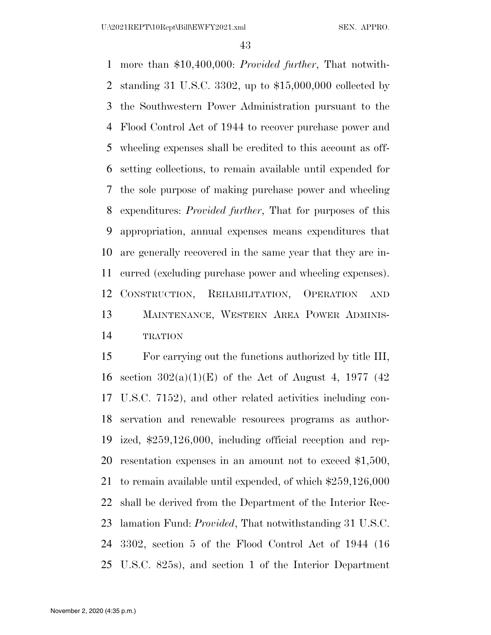more than \$10,400,000: *Provided further*, That notwith- standing 31 U.S.C. 3302, up to \$15,000,000 collected by the Southwestern Power Administration pursuant to the Flood Control Act of 1944 to recover purchase power and wheeling expenses shall be credited to this account as off- setting collections, to remain available until expended for the sole purpose of making purchase power and wheeling expenditures: *Provided further*, That for purposes of this appropriation, annual expenses means expenditures that are generally recovered in the same year that they are in- curred (excluding purchase power and wheeling expenses). CONSTRUCTION, REHABILITATION, OPERATION AND MAINTENANCE, WESTERN AREA POWER ADMINIS-TRATION

 For carrying out the functions authorized by title III, 16 section  $302(a)(1)(E)$  of the Act of August 4, 1977 (42) U.S.C. 7152), and other related activities including con- servation and renewable resources programs as author- ized, \$259,126,000, including official reception and rep- resentation expenses in an amount not to exceed \$1,500, to remain available until expended, of which \$259,126,000 shall be derived from the Department of the Interior Rec- lamation Fund: *Provided*, That notwithstanding 31 U.S.C. 3302, section 5 of the Flood Control Act of 1944 (16 U.S.C. 825s), and section 1 of the Interior Department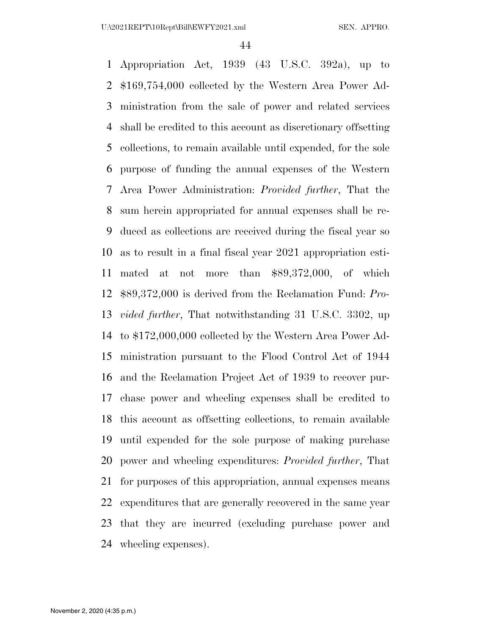Appropriation Act, 1939 (43 U.S.C. 392a), up to \$169,754,000 collected by the Western Area Power Ad- ministration from the sale of power and related services shall be credited to this account as discretionary offsetting collections, to remain available until expended, for the sole purpose of funding the annual expenses of the Western Area Power Administration: *Provided further*, That the sum herein appropriated for annual expenses shall be re- duced as collections are received during the fiscal year so as to result in a final fiscal year 2021 appropriation esti- mated at not more than \$89,372,000, of which \$89,372,000 is derived from the Reclamation Fund: *Pro- vided further*, That notwithstanding 31 U.S.C. 3302, up to \$172,000,000 collected by the Western Area Power Ad- ministration pursuant to the Flood Control Act of 1944 and the Reclamation Project Act of 1939 to recover pur- chase power and wheeling expenses shall be credited to this account as offsetting collections, to remain available until expended for the sole purpose of making purchase power and wheeling expenditures: *Provided further*, That for purposes of this appropriation, annual expenses means expenditures that are generally recovered in the same year that they are incurred (excluding purchase power and wheeling expenses).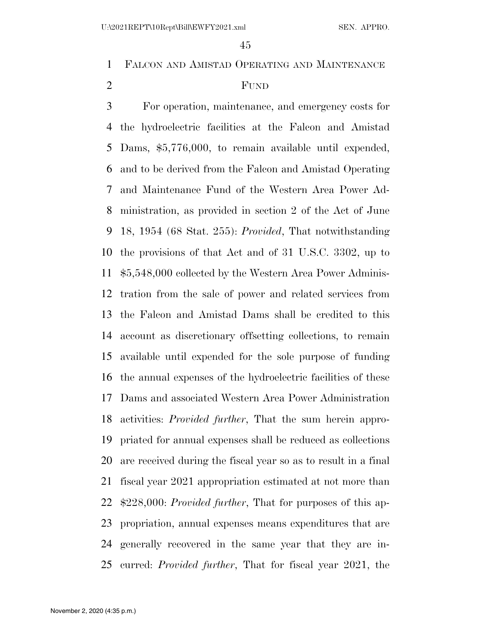FALCON AND AMISTAD OPERATING AND MAINTENANCE

# FUND

 For operation, maintenance, and emergency costs for the hydroelectric facilities at the Falcon and Amistad Dams, \$5,776,000, to remain available until expended, and to be derived from the Falcon and Amistad Operating and Maintenance Fund of the Western Area Power Ad- ministration, as provided in section 2 of the Act of June 18, 1954 (68 Stat. 255): *Provided*, That notwithstanding the provisions of that Act and of 31 U.S.C. 3302, up to \$5,548,000 collected by the Western Area Power Adminis- tration from the sale of power and related services from the Falcon and Amistad Dams shall be credited to this account as discretionary offsetting collections, to remain available until expended for the sole purpose of funding the annual expenses of the hydroelectric facilities of these Dams and associated Western Area Power Administration activities: *Provided further*, That the sum herein appro- priated for annual expenses shall be reduced as collections are received during the fiscal year so as to result in a final fiscal year 2021 appropriation estimated at not more than \$228,000: *Provided further*, That for purposes of this ap- propriation, annual expenses means expenditures that are generally recovered in the same year that they are in-curred: *Provided further*, That for fiscal year 2021, the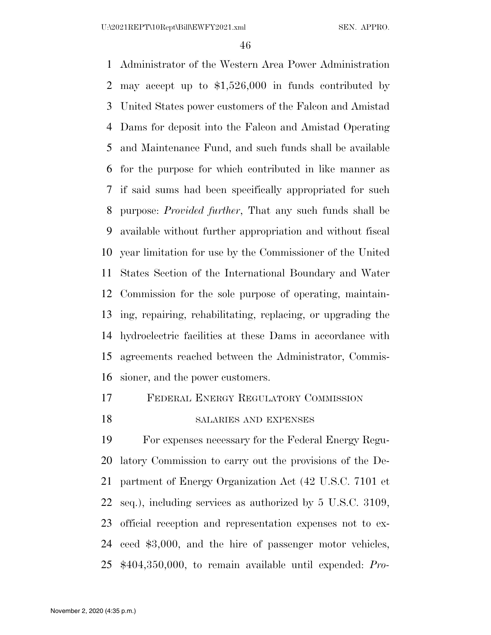Administrator of the Western Area Power Administration may accept up to \$1,526,000 in funds contributed by United States power customers of the Falcon and Amistad Dams for deposit into the Falcon and Amistad Operating and Maintenance Fund, and such funds shall be available for the purpose for which contributed in like manner as if said sums had been specifically appropriated for such purpose: *Provided further*, That any such funds shall be available without further appropriation and without fiscal year limitation for use by the Commissioner of the United States Section of the International Boundary and Water Commission for the sole purpose of operating, maintain- ing, repairing, rehabilitating, replacing, or upgrading the hydroelectric facilities at these Dams in accordance with agreements reached between the Administrator, Commis-sioner, and the power customers.

# FEDERAL ENERGY REGULATORY COMMISSION

### 18 SALARIES AND EXPENSES

 For expenses necessary for the Federal Energy Regu- latory Commission to carry out the provisions of the De- partment of Energy Organization Act (42 U.S.C. 7101 et seq.), including services as authorized by 5 U.S.C. 3109, official reception and representation expenses not to ex- ceed \$3,000, and the hire of passenger motor vehicles, \$404,350,000, to remain available until expended: *Pro-*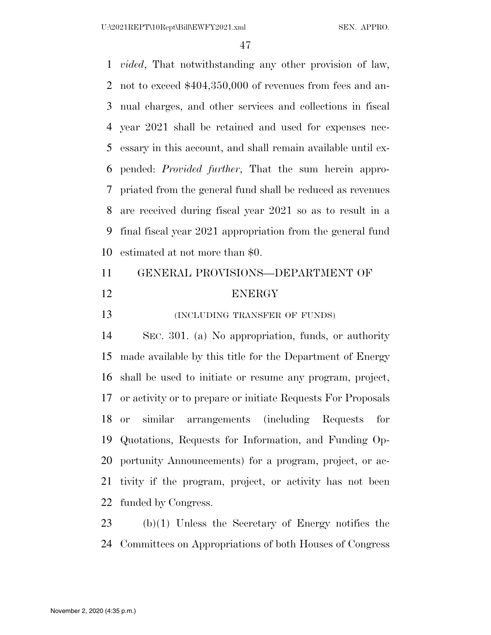*vided*, That notwithstanding any other provision of law, not to exceed \$404,350,000 of revenues from fees and an- nual charges, and other services and collections in fiscal year 2021 shall be retained and used for expenses nec- essary in this account, and shall remain available until ex- pended: *Provided further*, That the sum herein appro- priated from the general fund shall be reduced as revenues are received during fiscal year 2021 so as to result in a final fiscal year 2021 appropriation from the general fund estimated at not more than \$0.

| 11 | GENERAL PROVISIONS-DEPARTMENT OF |
|----|----------------------------------|
| 12 | <b>ENERGY</b>                    |

**(INCLUDING TRANSFER OF FUNDS)** 

 SEC. 301. (a) No appropriation, funds, or authority made available by this title for the Department of Energy shall be used to initiate or resume any program, project, or activity or to prepare or initiate Requests For Proposals or similar arrangements (including Requests for Quotations, Requests for Information, and Funding Op- portunity Announcements) for a program, project, or ac- tivity if the program, project, or activity has not been funded by Congress.

 (b)(1) Unless the Secretary of Energy notifies the Committees on Appropriations of both Houses of Congress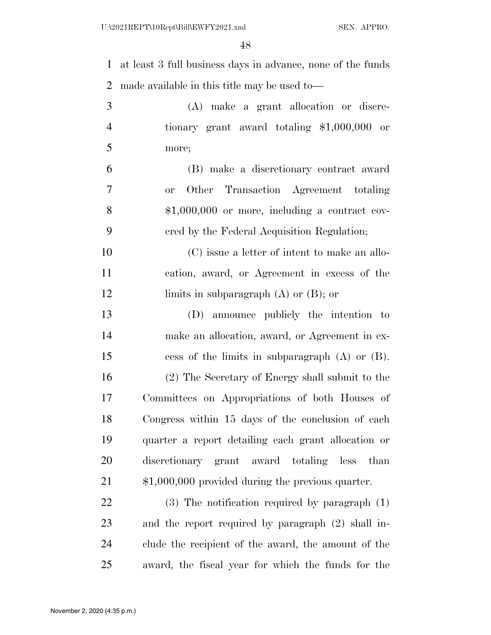| $\mathbf{1}$   | at least 3 full business days in advance, none of the funds |
|----------------|-------------------------------------------------------------|
| $\overline{2}$ | made available in this title may be used to-                |
| 3              | (A) make a grant allocation or discre-                      |
| $\overline{4}$ | tionary grant award totaling $$1,000,000$ or                |
| 5              | more;                                                       |
| 6              | (B) make a discretionary contract award                     |
| $\tau$         | Other Transaction Agreement totaling<br><b>or</b>           |
| 8              | $$1,000,000$ or more, including a contract cov-             |
| 9              | ered by the Federal Acquisition Regulation;                 |
| 10             | (C) issue a letter of intent to make an allo-               |
| 11             | cation, award, or Agreement in excess of the                |
| 12             | limits in subparagraph $(A)$ or $(B)$ ; or                  |
| 13             | (D) announce publicly the intention to                      |
| 14             | make an allocation, award, or Agreement in ex-              |
| 15             | cess of the limits in subparagraph $(A)$ or $(B)$ .         |
| 16             | (2) The Secretary of Energy shall submit to the             |
| 17             | Committees on Appropriations of both Houses of              |
| 18             | Congress within 15 days of the conclusion of each           |
| 19             | quarter a report detailing each grant allocation or         |
| 20             | discretionary grant award totaling less than                |
| 21             | $$1,000,000$ provided during the previous quarter.          |
| 22             | $(3)$ The notification required by paragraph $(1)$          |
| 23             | and the report required by paragraph (2) shall in-          |
| 24             | clude the recipient of the award, the amount of the         |

award, the fiscal year for which the funds for the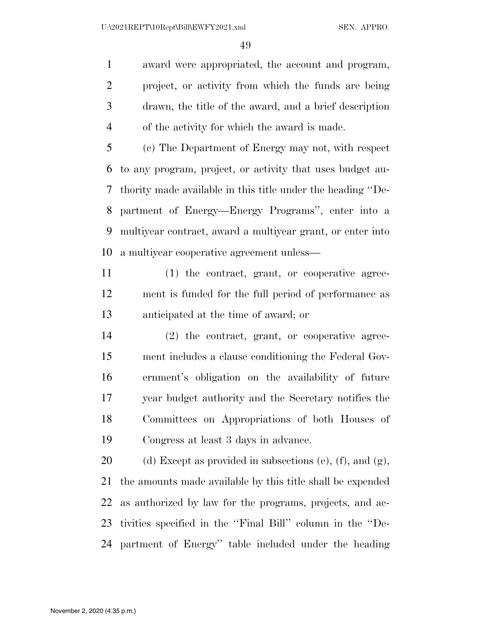award were appropriated, the account and program, project, or activity from which the funds are being drawn, the title of the award, and a brief description of the activity for which the award is made.

 (c) The Department of Energy may not, with respect to any program, project, or activity that uses budget au- thority made available in this title under the heading ''De- partment of Energy—Energy Programs'', enter into a multiyear contract, award a multiyear grant, or enter into a multiyear cooperative agreement unless—

 (1) the contract, grant, or cooperative agree- ment is funded for the full period of performance as anticipated at the time of award; or

 (2) the contract, grant, or cooperative agree- ment includes a clause conditioning the Federal Gov- ernment's obligation on the availability of future year budget authority and the Secretary notifies the Committees on Appropriations of both Houses of Congress at least 3 days in advance.

20 (d) Except as provided in subsections (e), (f), and  $(g)$ , the amounts made available by this title shall be expended as authorized by law for the programs, projects, and ac- tivities specified in the ''Final Bill'' column in the ''De-partment of Energy'' table included under the heading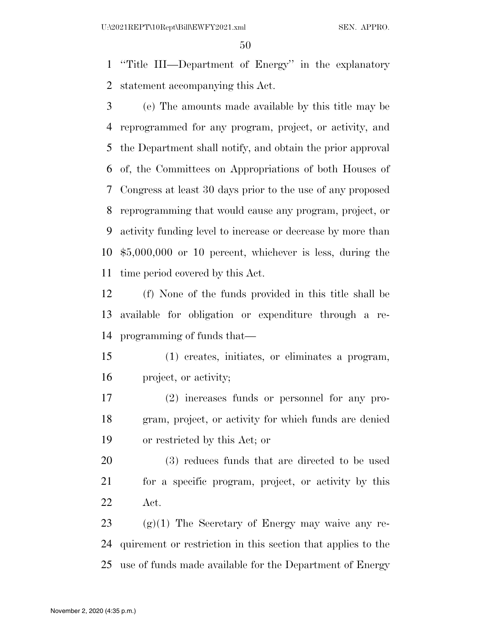''Title III—Department of Energy'' in the explanatory statement accompanying this Act.

 (e) The amounts made available by this title may be reprogrammed for any program, project, or activity, and the Department shall notify, and obtain the prior approval of, the Committees on Appropriations of both Houses of Congress at least 30 days prior to the use of any proposed reprogramming that would cause any program, project, or activity funding level to increase or decrease by more than \$5,000,000 or 10 percent, whichever is less, during the time period covered by this Act.

 (f) None of the funds provided in this title shall be available for obligation or expenditure through a re-programming of funds that—

 (1) creates, initiates, or eliminates a program, project, or activity;

 (2) increases funds or personnel for any pro- gram, project, or activity for which funds are denied or restricted by this Act; or

 (3) reduces funds that are directed to be used for a specific program, project, or activity by this Act.

23  $(g)(1)$  The Secretary of Energy may waive any re- quirement or restriction in this section that applies to the use of funds made available for the Department of Energy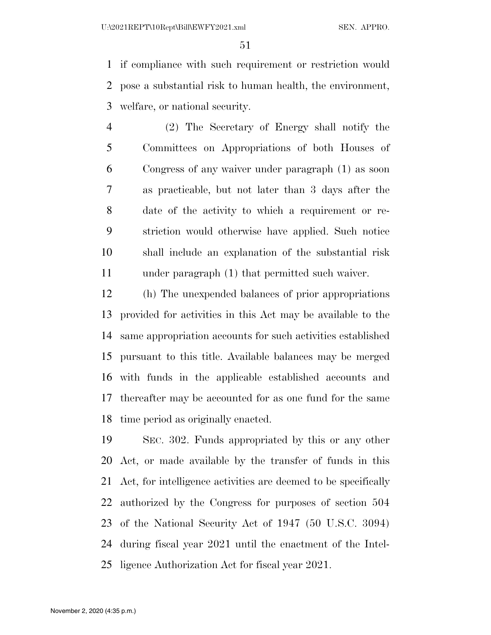if compliance with such requirement or restriction would pose a substantial risk to human health, the environment, welfare, or national security.

 (2) The Secretary of Energy shall notify the Committees on Appropriations of both Houses of Congress of any waiver under paragraph (1) as soon as practicable, but not later than 3 days after the date of the activity to which a requirement or re- striction would otherwise have applied. Such notice shall include an explanation of the substantial risk under paragraph (1) that permitted such waiver.

 (h) The unexpended balances of prior appropriations provided for activities in this Act may be available to the same appropriation accounts for such activities established pursuant to this title. Available balances may be merged with funds in the applicable established accounts and thereafter may be accounted for as one fund for the same time period as originally enacted.

 SEC. 302. Funds appropriated by this or any other Act, or made available by the transfer of funds in this Act, for intelligence activities are deemed to be specifically authorized by the Congress for purposes of section 504 of the National Security Act of 1947 (50 U.S.C. 3094) during fiscal year 2021 until the enactment of the Intel-ligence Authorization Act for fiscal year 2021.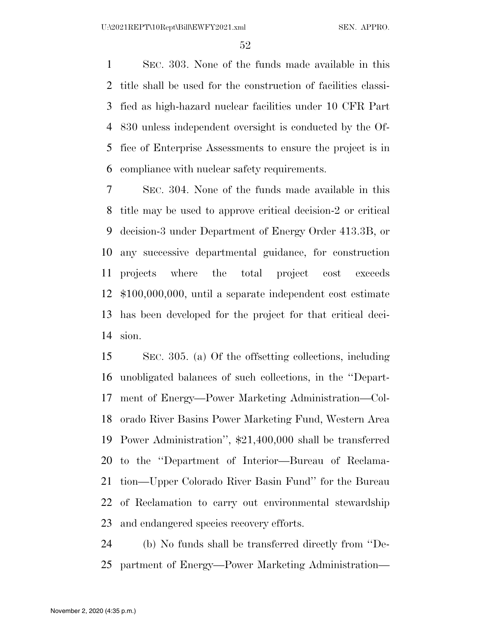SEC. 303. None of the funds made available in this title shall be used for the construction of facilities classi- fied as high-hazard nuclear facilities under 10 CFR Part 830 unless independent oversight is conducted by the Of- fice of Enterprise Assessments to ensure the project is in compliance with nuclear safety requirements.

 SEC. 304. None of the funds made available in this title may be used to approve critical decision-2 or critical decision-3 under Department of Energy Order 413.3B, or any successive departmental guidance, for construction projects where the total project cost exceeds \$100,000,000, until a separate independent cost estimate has been developed for the project for that critical deci-sion.

 SEC. 305. (a) Of the offsetting collections, including unobligated balances of such collections, in the ''Depart- ment of Energy—Power Marketing Administration—Col- orado River Basins Power Marketing Fund, Western Area Power Administration'', \$21,400,000 shall be transferred to the ''Department of Interior—Bureau of Reclama- tion—Upper Colorado River Basin Fund'' for the Bureau of Reclamation to carry out environmental stewardship and endangered species recovery efforts.

 (b) No funds shall be transferred directly from ''De-partment of Energy—Power Marketing Administration—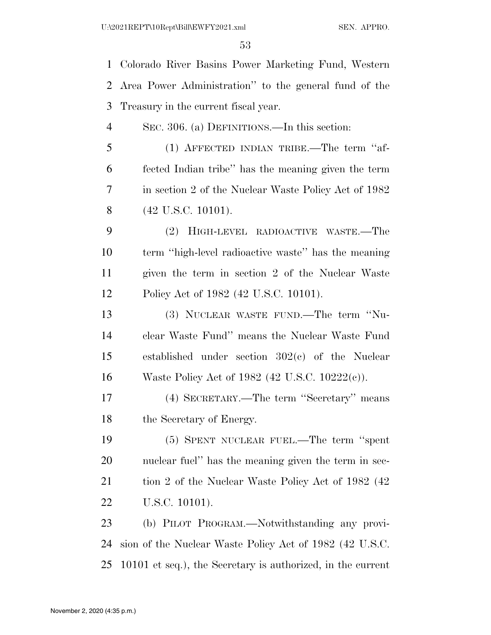Colorado River Basins Power Marketing Fund, Western Area Power Administration'' to the general fund of the Treasury in the current fiscal year. SEC. 306. (a) DEFINITIONS.—In this section: (1) AFFECTED INDIAN TRIBE.—The term ''af- fected Indian tribe'' has the meaning given the term in section 2 of the Nuclear Waste Policy Act of 1982 (42 U.S.C. 10101). (2) HIGH-LEVEL RADIOACTIVE WASTE.—The term ''high-level radioactive waste'' has the meaning given the term in section 2 of the Nuclear Waste Policy Act of 1982 (42 U.S.C. 10101). (3) NUCLEAR WASTE FUND.—The term ''Nu- clear Waste Fund'' means the Nuclear Waste Fund established under section 302(c) of the Nuclear Waste Policy Act of 1982 (42 U.S.C. 10222(c)). (4) SECRETARY.—The term ''Secretary'' means the Secretary of Energy. (5) SPENT NUCLEAR FUEL.—The term ''spent nuclear fuel'' has the meaning given the term in sec-21 tion 2 of the Nuclear Waste Policy Act of 1982 (42) U.S.C. 10101). (b) PILOT PROGRAM.—Notwithstanding any provi- sion of the Nuclear Waste Policy Act of 1982 (42 U.S.C. 10101 et seq.), the Secretary is authorized, in the current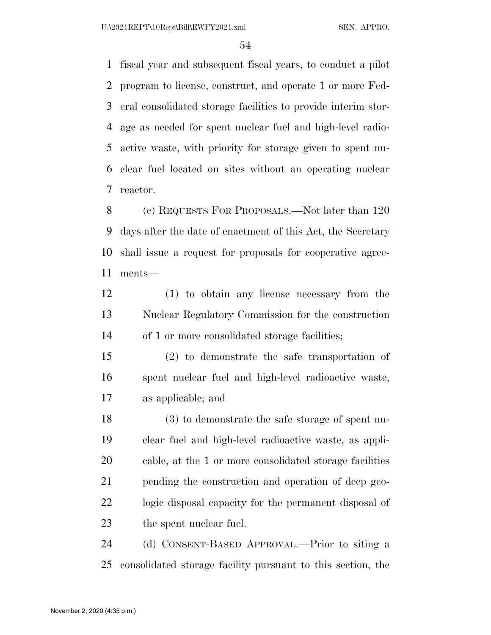fiscal year and subsequent fiscal years, to conduct a pilot program to license, construct, and operate 1 or more Fed- eral consolidated storage facilities to provide interim stor- age as needed for spent nuclear fuel and high-level radio- active waste, with priority for storage given to spent nu- clear fuel located on sites without an operating nuclear reactor.

 (c) REQUESTS FOR PROPOSALS.—Not later than 120 days after the date of enactment of this Act, the Secretary shall issue a request for proposals for cooperative agree-ments—

 (1) to obtain any license necessary from the Nuclear Regulatory Commission for the construction of 1 or more consolidated storage facilities;

 (2) to demonstrate the safe transportation of spent nuclear fuel and high-level radioactive waste, as applicable; and

 (3) to demonstrate the safe storage of spent nu- clear fuel and high-level radioactive waste, as appli- cable, at the 1 or more consolidated storage facilities pending the construction and operation of deep geo- logic disposal capacity for the permanent disposal of the spent nuclear fuel.

 (d) CONSENT-BASED APPROVAL.—Prior to siting a consolidated storage facility pursuant to this section, the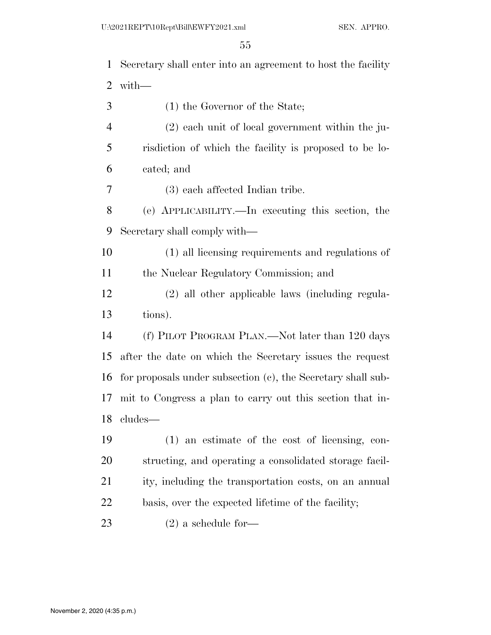Secretary shall enter into an agreement to host the facility with— (1) the Governor of the State; (2) each unit of local government within the ju- risdiction of which the facility is proposed to be lo- cated; and (3) each affected Indian tribe. (e) APPLICABILITY.—In executing this section, the Secretary shall comply with— (1) all licensing requirements and regulations of the Nuclear Regulatory Commission; and (2) all other applicable laws (including regula- tions). (f) PILOT PROGRAM PLAN.—Not later than 120 days after the date on which the Secretary issues the request for proposals under subsection (c), the Secretary shall sub- mit to Congress a plan to carry out this section that in- cludes— (1) an estimate of the cost of licensing, con- structing, and operating a consolidated storage facil-21 ity, including the transportation costs, on an annual basis, over the expected lifetime of the facility; (2) a schedule for—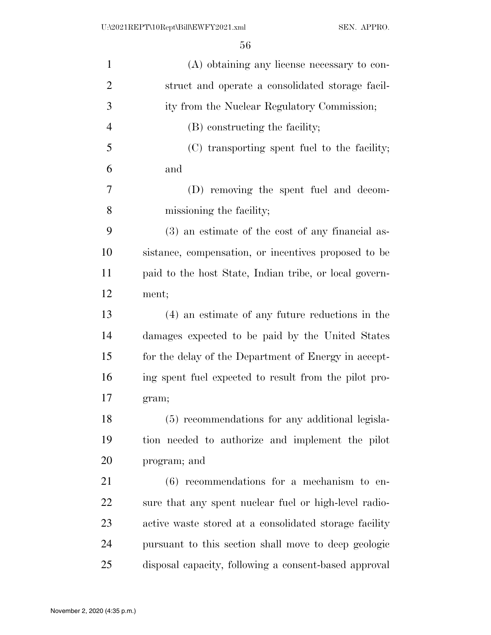| (A) obtaining any license necessary to con-            |
|--------------------------------------------------------|
| struct and operate a consolidated storage facil-       |
| ity from the Nuclear Regulatory Commission;            |
| (B) constructing the facility;                         |
| (C) transporting spent fuel to the facility;           |
| and                                                    |
| (D) removing the spent fuel and decom-                 |
| missioning the facility;                               |
| (3) an estimate of the cost of any financial as-       |
| sistance, compensation, or incentives proposed to be   |
| paid to the host State, Indian tribe, or local govern- |
| ment;                                                  |
| (4) an estimate of any future reductions in the        |
| damages expected to be paid by the United States       |
| for the delay of the Department of Energy in accept-   |
| ing spent fuel expected to result from the pilot pro-  |
| gram;                                                  |
| (5) recommendations for any additional legisla-        |
| tion needed to authorize and implement the pilot       |
| program; and                                           |
| $(6)$ recommendations for a mechanism to en-           |
| sure that any spent nuclear fuel or high-level radio-  |
| active waste stored at a consolidated storage facility |
| pursuant to this section shall move to deep geologic   |
| disposal capacity, following a consent-based approval  |
|                                                        |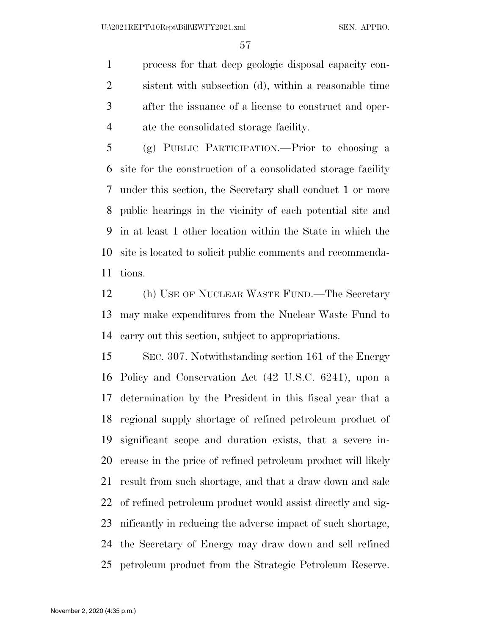process for that deep geologic disposal capacity con- sistent with subsection (d), within a reasonable time after the issuance of a license to construct and oper-ate the consolidated storage facility.

 (g) PUBLIC PARTICIPATION.—Prior to choosing a site for the construction of a consolidated storage facility under this section, the Secretary shall conduct 1 or more public hearings in the vicinity of each potential site and in at least 1 other location within the State in which the site is located to solicit public comments and recommenda-tions.

 (h) USE OF NUCLEAR WASTE FUND.—The Secretary may make expenditures from the Nuclear Waste Fund to carry out this section, subject to appropriations.

 SEC. 307. Notwithstanding section 161 of the Energy Policy and Conservation Act (42 U.S.C. 6241), upon a determination by the President in this fiscal year that a regional supply shortage of refined petroleum product of significant scope and duration exists, that a severe in- crease in the price of refined petroleum product will likely result from such shortage, and that a draw down and sale of refined petroleum product would assist directly and sig- nificantly in reducing the adverse impact of such shortage, the Secretary of Energy may draw down and sell refined petroleum product from the Strategic Petroleum Reserve.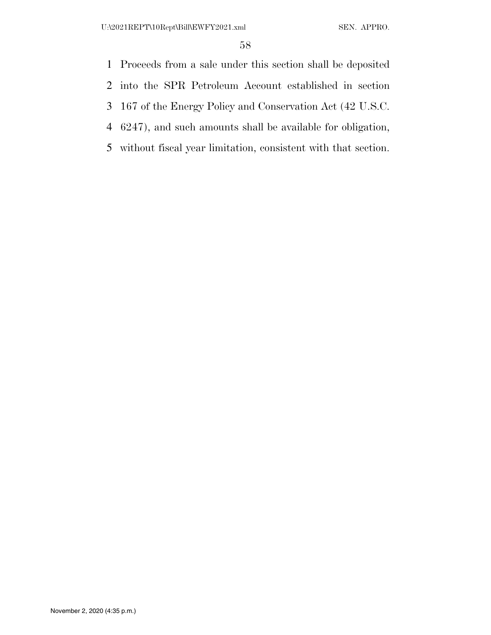Proceeds from a sale under this section shall be deposited

into the SPR Petroleum Account established in section

167 of the Energy Policy and Conservation Act (42 U.S.C.

6247), and such amounts shall be available for obligation,

without fiscal year limitation, consistent with that section.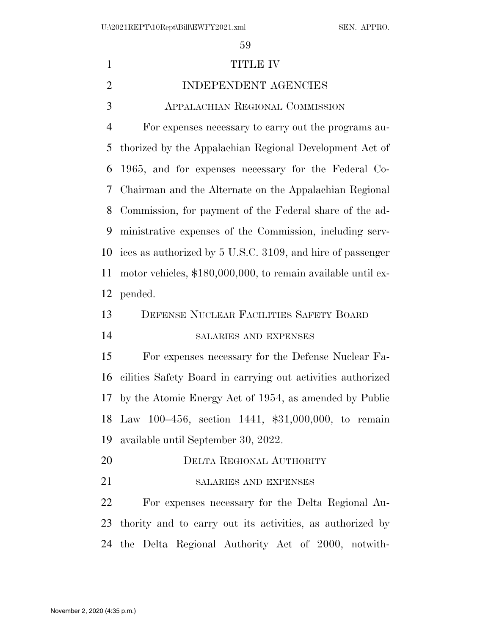| $\mathbf{1}$   | TITLE IV                                                     |
|----------------|--------------------------------------------------------------|
| $\overline{2}$ | INDEPENDENT AGENCIES                                         |
| 3              | APPALACHIAN REGIONAL COMMISSION                              |
| $\overline{4}$ | For expenses necessary to carry out the programs au-         |
| 5              | thorized by the Appalachian Regional Development Act of      |
| 6              | 1965, and for expenses necessary for the Federal Co-         |
| 7              | Chairman and the Alternate on the Appalachian Regional       |
| 8              | Commission, for payment of the Federal share of the ad-      |
| 9              | ministrative expenses of the Commission, including serv-     |
| 10             | ices as authorized by 5 U.S.C. 3109, and hire of passenger   |
| 11             | motor vehicles, \$180,000,000, to remain available until ex- |
| 12             | pended.                                                      |
| 13             | DEFENSE NUCLEAR FACILITIES SAFETY BOARD                      |
| 14             | SALARIES AND EXPENSES                                        |
| 15             | For expenses necessary for the Defense Nuclear Fa-           |
| 16             | cilities Safety Board in carrying out activities authorized  |
| 17             | by the Atomic Energy Act of 1954, as amended by Public       |
|                |                                                              |
|                | 18 Law 100-456, section 1441, \$31,000,000, to remain        |
|                | available until September 30, 2022.                          |
| 19<br>20       | DELTA REGIONAL AUTHORITY                                     |
| 21             | SALARIES AND EXPENSES                                        |
| 22             | For expenses necessary for the Delta Regional Au-            |
| 23             | thority and to carry out its activities, as authorized by    |
| 24             | the Delta Regional Authority Act of 2000, notwith-           |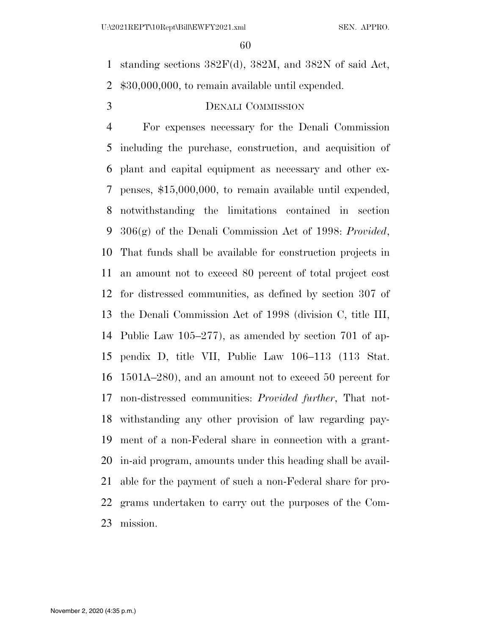standing sections 382F(d), 382M, and 382N of said Act, \$30,000,000, to remain available until expended.

# DENALI COMMISSION

 For expenses necessary for the Denali Commission including the purchase, construction, and acquisition of plant and capital equipment as necessary and other ex- penses, \$15,000,000, to remain available until expended, notwithstanding the limitations contained in section 306(g) of the Denali Commission Act of 1998: *Provided*, That funds shall be available for construction projects in an amount not to exceed 80 percent of total project cost for distressed communities, as defined by section 307 of the Denali Commission Act of 1998 (division C, title III, Public Law 105–277), as amended by section 701 of ap- pendix D, title VII, Public Law 106–113 (113 Stat. 1501A–280), and an amount not to exceed 50 percent for non-distressed communities: *Provided further*, That not- withstanding any other provision of law regarding pay- ment of a non-Federal share in connection with a grant- in-aid program, amounts under this heading shall be avail- able for the payment of such a non-Federal share for pro- grams undertaken to carry out the purposes of the Com-mission.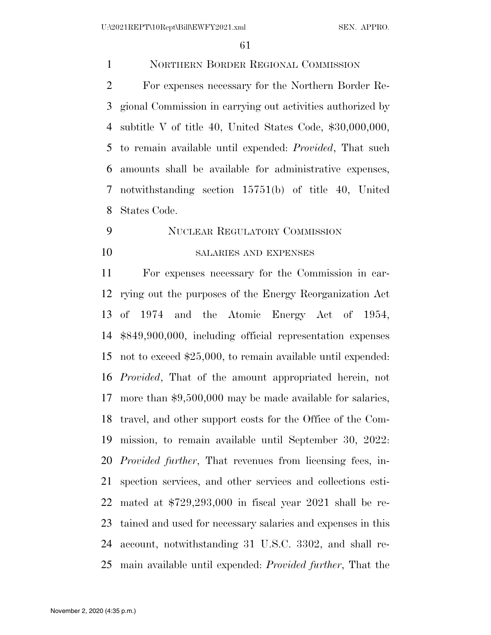NORTHERN BORDER REGIONAL COMMISSION

 For expenses necessary for the Northern Border Re- gional Commission in carrying out activities authorized by subtitle V of title 40, United States Code, \$30,000,000, to remain available until expended: *Provided*, That such amounts shall be available for administrative expenses, notwithstanding section 15751(b) of title 40, United States Code.

# NUCLEAR REGULATORY COMMISSION SALARIES AND EXPENSES

 For expenses necessary for the Commission in car- rying out the purposes of the Energy Reorganization Act of 1974 and the Atomic Energy Act of 1954, \$849,900,000, including official representation expenses not to exceed \$25,000, to remain available until expended: *Provided*, That of the amount appropriated herein, not more than \$9,500,000 may be made available for salaries, travel, and other support costs for the Office of the Com- mission, to remain available until September 30, 2022: *Provided further*, That revenues from licensing fees, in- spection services, and other services and collections esti- mated at \$729,293,000 in fiscal year 2021 shall be re- tained and used for necessary salaries and expenses in this account, notwithstanding 31 U.S.C. 3302, and shall re-main available until expended: *Provided further*, That the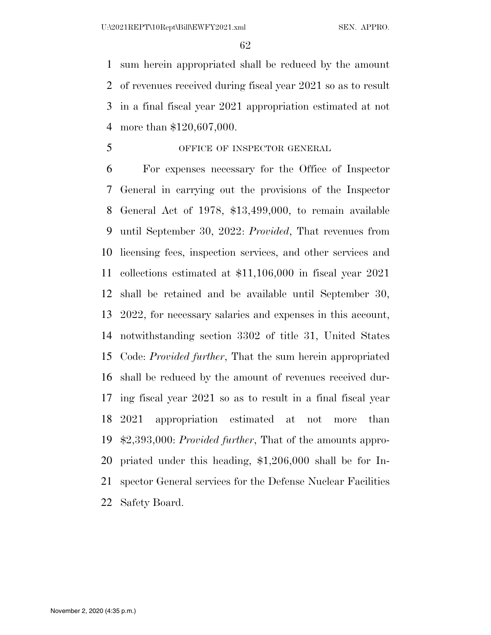sum herein appropriated shall be reduced by the amount of revenues received during fiscal year 2021 so as to result in a final fiscal year 2021 appropriation estimated at not more than \$120,607,000.

OFFICE OF INSPECTOR GENERAL

 For expenses necessary for the Office of Inspector General in carrying out the provisions of the Inspector General Act of 1978, \$13,499,000, to remain available until September 30, 2022: *Provided*, That revenues from licensing fees, inspection services, and other services and collections estimated at \$11,106,000 in fiscal year 2021 shall be retained and be available until September 30, 2022, for necessary salaries and expenses in this account, notwithstanding section 3302 of title 31, United States Code: *Provided further*, That the sum herein appropriated shall be reduced by the amount of revenues received dur- ing fiscal year 2021 so as to result in a final fiscal year 2021 appropriation estimated at not more than \$2,393,000: *Provided further*, That of the amounts appro- priated under this heading, \$1,206,000 shall be for In- spector General services for the Defense Nuclear Facilities Safety Board.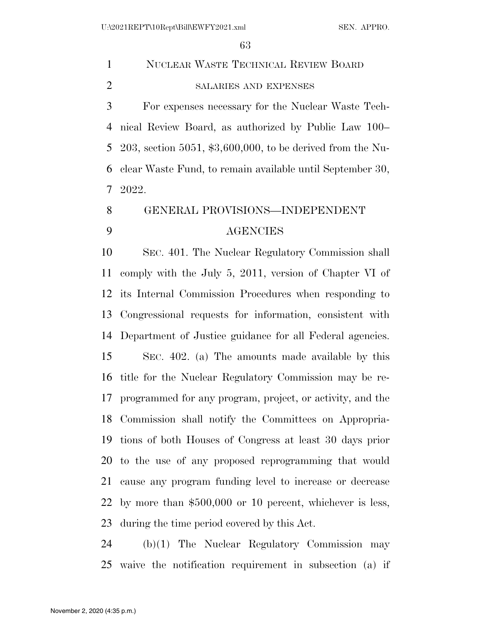| $\mathbf{1}$   | NUCLEAR WASTE TECHNICAL REVIEW BOARD                         |
|----------------|--------------------------------------------------------------|
| $\overline{2}$ | SALARIES AND EXPENSES                                        |
| 3              | For expenses necessary for the Nuclear Waste Tech-           |
| 4              | nical Review Board, as authorized by Public Law 100–         |
| 5              | 203, section 5051, $$3,600,000$ , to be derived from the Nu- |
| 6              | clear Waste Fund, to remain available until September 30,    |
| 7              | 2022.                                                        |
| 8              | GENERAL PROVISIONS-INDEPENDENT                               |
| 9              | <b>AGENCIES</b>                                              |
| 10             | SEC. 401. The Nuclear Regulatory Commission shall            |
| 11             | comply with the July 5, 2011, version of Chapter VI of       |
| 12             | its Internal Commission Procedures when responding to        |
| 13             | Congressional requests for information, consistent with      |
| 14             | Department of Justice guidance for all Federal agencies.     |
| 15             | SEC. 402. (a) The amounts made available by this             |
| 16             | title for the Nuclear Regulatory Commission may be re-       |
| 17             | programmed for any program, project, or activity, and the    |
|                | 18 Commission shall notify the Committees on Appropria-      |
| 19             | tions of both Houses of Congress at least 30 days prior      |
|                | 20 to the use of any proposed reprogramming that would       |
| 21             | cause any program funding level to increase or decrease      |
| 22             | by more than $$500,000$ or 10 percent, whichever is less,    |
|                |                                                              |

during the time period covered by this Act.

 (b)(1) The Nuclear Regulatory Commission may waive the notification requirement in subsection (a) if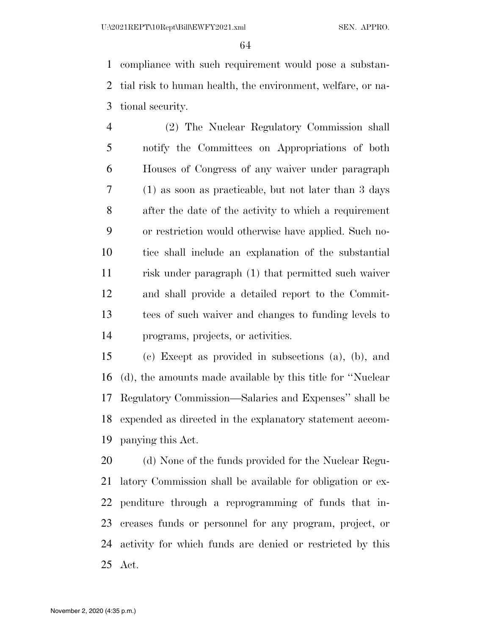compliance with such requirement would pose a substan- tial risk to human health, the environment, welfare, or na-tional security.

 (2) The Nuclear Regulatory Commission shall notify the Committees on Appropriations of both Houses of Congress of any waiver under paragraph (1) as soon as practicable, but not later than 3 days after the date of the activity to which a requirement or restriction would otherwise have applied. Such no- tice shall include an explanation of the substantial risk under paragraph (1) that permitted such waiver and shall provide a detailed report to the Commit- tees of such waiver and changes to funding levels to programs, projects, or activities.

 (c) Except as provided in subsections (a), (b), and (d), the amounts made available by this title for ''Nuclear Regulatory Commission—Salaries and Expenses'' shall be expended as directed in the explanatory statement accom-panying this Act.

20 (d) None of the funds provided for the Nuclear Regu- latory Commission shall be available for obligation or ex- penditure through a reprogramming of funds that in- creases funds or personnel for any program, project, or activity for which funds are denied or restricted by this Act.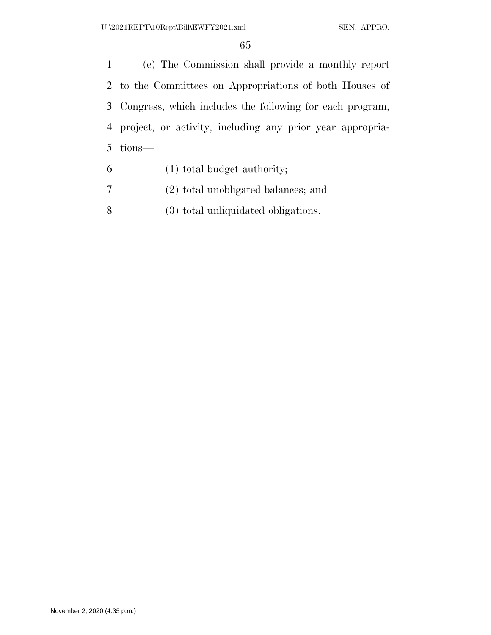(e) The Commission shall provide a monthly report to the Committees on Appropriations of both Houses of Congress, which includes the following for each program, project, or activity, including any prior year appropria-tions—

- (1) total budget authority;
- (2) total unobligated balances; and
- (3) total unliquidated obligations.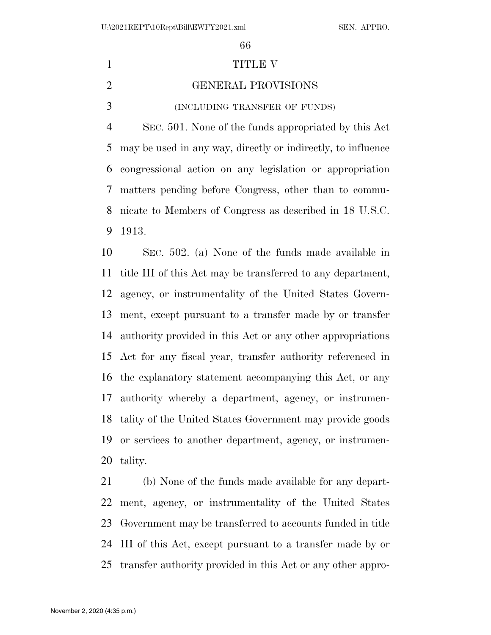#### 1 TITLE V

# GENERAL PROVISIONS

(INCLUDING TRANSFER OF FUNDS)

 SEC. 501. None of the funds appropriated by this Act may be used in any way, directly or indirectly, to influence congressional action on any legislation or appropriation matters pending before Congress, other than to commu- nicate to Members of Congress as described in 18 U.S.C. 1913.

 SEC. 502. (a) None of the funds made available in title III of this Act may be transferred to any department, agency, or instrumentality of the United States Govern- ment, except pursuant to a transfer made by or transfer authority provided in this Act or any other appropriations Act for any fiscal year, transfer authority referenced in the explanatory statement accompanying this Act, or any authority whereby a department, agency, or instrumen- tality of the United States Government may provide goods or services to another department, agency, or instrumen-tality.

 (b) None of the funds made available for any depart- ment, agency, or instrumentality of the United States Government may be transferred to accounts funded in title III of this Act, except pursuant to a transfer made by or transfer authority provided in this Act or any other appro-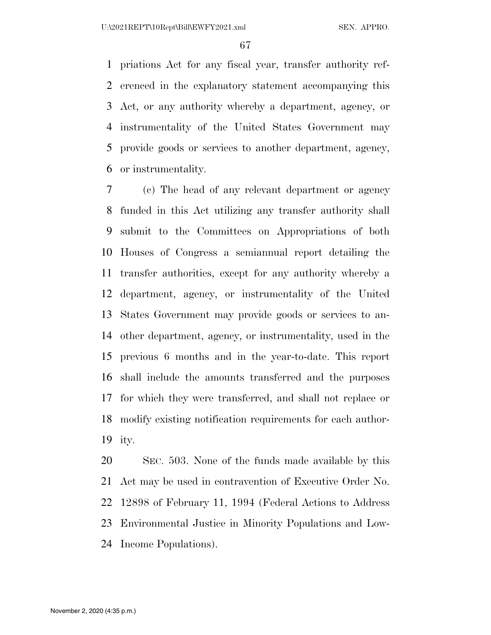priations Act for any fiscal year, transfer authority ref- erenced in the explanatory statement accompanying this Act, or any authority whereby a department, agency, or instrumentality of the United States Government may provide goods or services to another department, agency, or instrumentality.

 (c) The head of any relevant department or agency funded in this Act utilizing any transfer authority shall submit to the Committees on Appropriations of both Houses of Congress a semiannual report detailing the transfer authorities, except for any authority whereby a department, agency, or instrumentality of the United States Government may provide goods or services to an- other department, agency, or instrumentality, used in the previous 6 months and in the year-to-date. This report shall include the amounts transferred and the purposes for which they were transferred, and shall not replace or modify existing notification requirements for each author-ity.

 SEC. 503. None of the funds made available by this Act may be used in contravention of Executive Order No. 12898 of February 11, 1994 (Federal Actions to Address Environmental Justice in Minority Populations and Low-Income Populations).